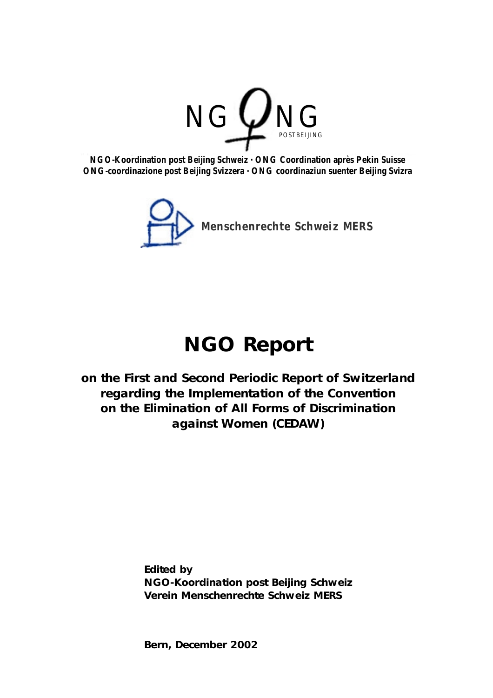

**NGO-Koordination post Beijing Schweiz · ONG Coordination après Pekin Suisse ONG-coordinazione post Beijing Svizzera · ONG coordinaziun suenter Beijing Svizra**



# **NGO Report**

**on the First and Second Periodic Report of Switzerland regarding the Implementation of the Convention on the Elimination of All Forms of Discrimination against Women (CEDAW)**

> **Edited by NGO-Koordination post Beijing Schweiz Verein Menschenrechte Schweiz MERS**

**Bern, December 2002**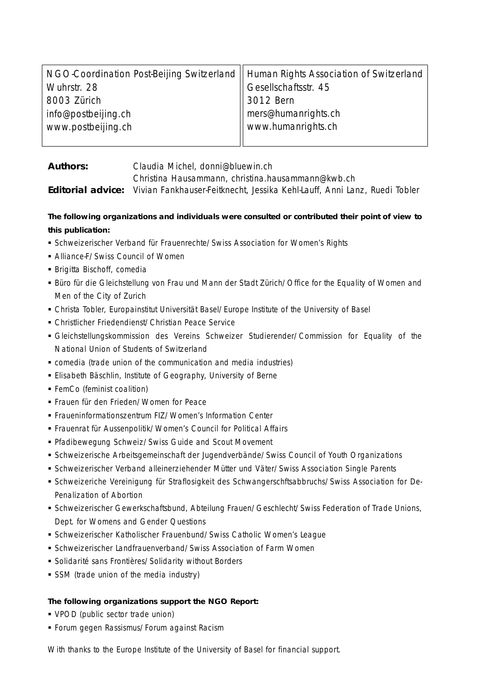| NGO-Coordination Post-Beijing Switzerland    Human Rights Association of Switzerland |                       |  |
|--------------------------------------------------------------------------------------|-----------------------|--|
| Wuhrstr. 28                                                                          | Gesellschaftsstr. 45  |  |
| 8003 Zürich                                                                          | $\parallel$ 3012 Bern |  |
| info@postbeijing.ch                                                                  | mers@humanrights.ch   |  |
| www.postbeijing.ch                                                                   | www.humanrights.ch    |  |
|                                                                                      |                       |  |

**Authors:** Claudia Michel, donni@bluewin.ch Christina Hausammann, christina.hausammann@kwb.ch **Editorial advice:** Vivian Fankhauser-Feitknecht, Jessika Kehl-Lauff, Anni Lanz, Ruedi Tobler

**The following organizations and individuals were consulted or contributed their point of view to this publication:**

- Schweizerischer Verband für Frauenrechte/Swiss Association for Women's Rights
- Alliance-F/Swiss Council of Women
- Brigitta Bischoff, comedia
- Büro für die Gleichstellung von Frau und Mann der Stadt Zürich/Office for the Equality of Women and Men of the City of Zurich
- Christa Tobler, Europainstitut Universität Basel/Europe Institute of the University of Basel
- Christlicher Friedendienst/Christian Peace Service
- Gleichstellungskommission des Vereins Schweizer Studierender/Commission for Equality of the National Union of Students of Switzerland
- comedia (trade union of the communication and media industries)
- Elisabeth Bäschlin, Institute of Geography, University of Berne
- FemCo (feminist coalition)
- Frauen für den Frieden/Women for Peace
- Fraueninformationszentrum FIZ/Women's Information Center
- Frauenrat für Aussenpolitik/Women's Council for Political Affairs
- Pfadibewegung Schweiz/Swiss Guide and Scout Movement
- Schweizerische Arbeitsgemeinschaft der Jugendverbände/Swiss Council of Youth Organizations
- Schweizerischer Verband alleinerziehender Mütter und Väter/Swiss Association Single Parents
- Schweizeriche Vereinigung für Straflosigkeit des Schwangerschftsabbruchs/Swiss Association for De-Penalization of Abortion
- Schweizerischer Gewerkschaftsbund, Abteilung Frauen/Geschlecht/Swiss Federation of Trade Unions, Dept. for Womens and Gender Questions
- Schweizerischer Katholischer Frauenbund/Swiss Catholic Women's League
- Schweizerischer Landfrauenverband/Swiss Association of Farm Women
- Solidarité sans Frontières/Solidarity without Borders
- **SSM** (trade union of the media industry)

#### **The following organizations support the NGO Report:**

- VPOD (public sector trade union)
- Forum gegen Rassismus/Forum against Racism

With thanks to the Europe Institute of the University of Basel for financial support.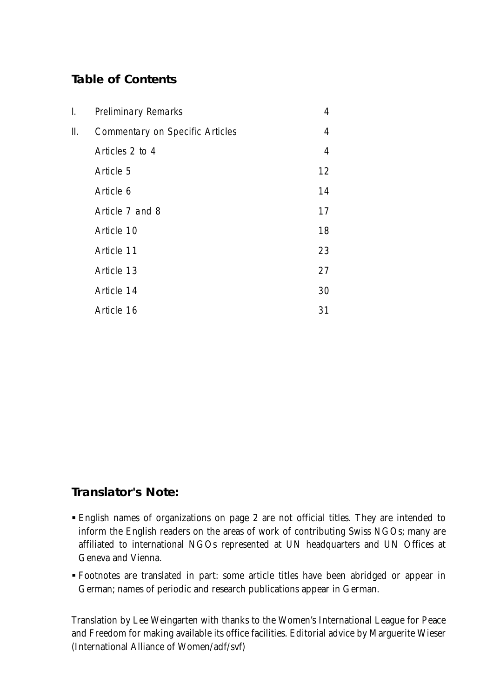# **Table of Contents**

| I. | <b>Preliminary Remarks</b>             | 4  |
|----|----------------------------------------|----|
| Ⅱ. | <b>Commentary on Specific Articles</b> | 4  |
|    | Articles 2 to 4                        | 4  |
|    | Article 5                              | 12 |
|    | Article 6                              | 14 |
|    | Article 7 and 8                        | 17 |
|    | Article 10                             | 18 |
|    | Article 11                             | 23 |
|    | Article 13                             | 27 |
|    | Article 14                             | 30 |
|    | Article 16                             | 31 |

# **Translator's Note:**

- English names of organizations on page 2 are not official titles. They are intended to inform the English readers on the areas of work of contributing Swiss NGOs; many are affiliated to international NGOs represented at UN headquarters and UN Offices at Geneva and Vienna.
- Footnotes are translated in part: some article titles have been abridged or appear in German; names of periodic and research publications appear in German.

Translation by Lee Weingarten with thanks to the Women's International League for Peace and Freedom for making available its office facilities. Editorial advice by Marguerite Wieser (International Alliance of Women/adf/svf)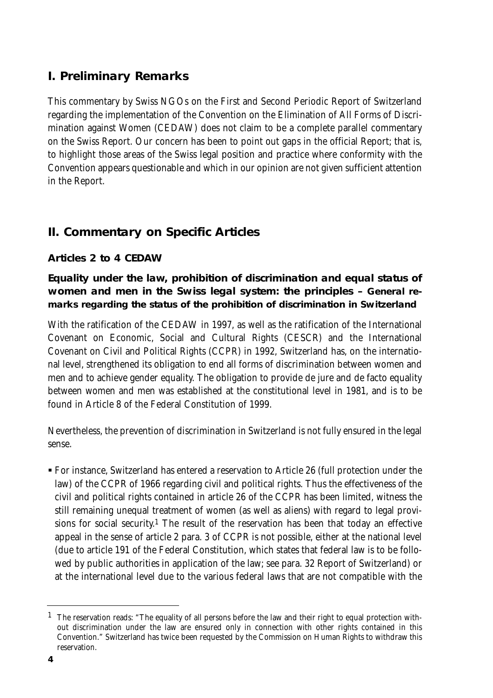# **I. Preliminary Remarks**

This commentary by Swiss NGOs on the First and Second Periodic Report of Switzerland regarding the implementation of the Convention on the Elimination of All Forms of Discrimination against Women (CEDAW) does not claim to be a complete parallel commentary on the Swiss Report. Our concern has been to point out gaps in the official Report; that is, to highlight those areas of the Swiss legal position and practice where conformity with the Convention appears questionable and which in our opinion are not given sufficient attention in the Report.

# **II. Commentary on Specific Articles**

# **Articles 2 to 4 CEDAW**

# **Equality under the law, prohibition of discrimination and equal status of women and men in the Swiss legal system: the principles – General remarks regarding the status of the prohibition of discrimination in Switzerland**

With the ratification of the CEDAW in 1997, as well as the ratification of the International Covenant on Economic, Social and Cultural Rights (CESCR) and the International Covenant on Civil and Political Rights (CCPR) in 1992, Switzerland has, on the international level, strengthened its obligation to end all forms of discrimination between women and men and to achieve gender equality. The obligation to provide de jure and de facto equality between women and men was established at the constitutional level in 1981, and is to be found in Article 8 of the Federal Constitution of 1999.

Nevertheless, the prevention of discrimination in Switzerland is not fully ensured in the legal sense.

- For instance, Switzerland has entered a reservation to Article 26 (full protection under the law) of the CCPR of 1966 regarding civil and political rights. Thus the effectiveness of the civil and political rights contained in article 26 of the CCPR has been limited, witness the still remaining unequal treatment of women (as well as aliens) with regard to legal provisions for social security.<sup>1</sup> The result of the reservation has been that today an effective appeal in the sense of article 2 para. 3 of CCPR is not possible, either at the national level (due to article 191 of the Federal Constitution, which states that federal law is to be followed by public authorities in application of the law; see para. 32 Report of Switzerland) or at the international level due to the various federal laws that are not compatible with the

 $1$  The reservation reads: "The equality of all persons before the law and their right to equal protection without discrimination under the law are ensured only in connection with other rights contained in this Convention." Switzerland has twice been requested by the Commission on Human Rights to withdraw this reservation.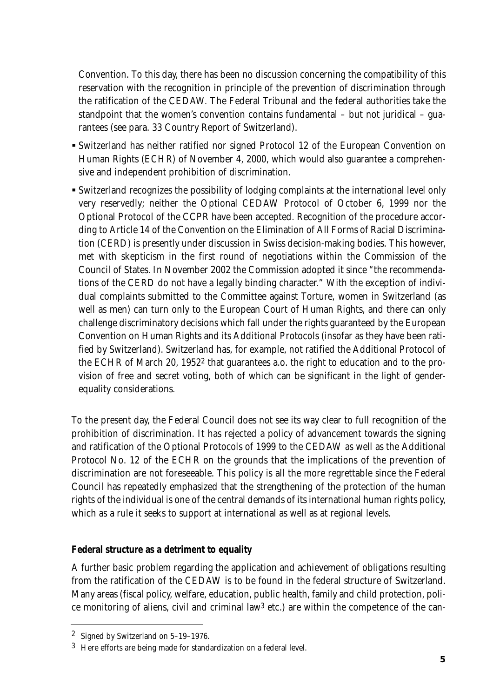Convention. To this day, there has been no discussion concerning the compatibility of this reservation with the recognition in principle of the prevention of discrimination through the ratification of the CEDAW. The Federal Tribunal and the federal authorities take the standpoint that the women's convention contains fundamental – but not juridical – guarantees (see para. 33 Country Report of Switzerland).

- Switzerland has neither ratified nor signed Protocol 12 of the European Convention on Human Rights (ECHR) of November 4, 2000, which would also guarantee a comprehensive and independent prohibition of discrimination.
- Switzerland recognizes the possibility of lodging complaints at the international level only very reservedly; neither the Optional CEDAW Protocol of October 6, 1999 nor the Optional Protocol of the CCPR have been accepted. Recognition of the procedure according to Article 14 of the Convention on the Elimination of All Forms of Racial Discrimination (CERD) is presently under discussion in Swiss decision-making bodies. This however, met with skepticism in the first round of negotiations within the Commission of the Council of States. In November 2002 the Commission adopted it since "the recommendations of the CERD do not have a legally binding character." With the exception of individual complaints submitted to the Committee against Torture, women in Switzerland (as well as men) can turn only to the European Court of Human Rights, and there can only challenge discriminatory decisions which fall under the rights guaranteed by the European Convention on Human Rights and its Additional Protocols (insofar as they have been ratified by Switzerland). Switzerland has, for example, not ratified the Additional Protocol of the ECHR of March 20, 19522 that guarantees a.o. the right to education and to the provision of free and secret voting, both of which can be significant in the light of genderequality considerations.

To the present day, the Federal Council does not see its way clear to full recognition of the prohibition of discrimination. It has rejected a policy of advancement towards the signing and ratification of the Optional Protocols of 1999 to the CEDAW as well as the Additional Protocol No. 12 of the ECHR on the grounds that the implications of the prevention of discrimination are not foreseeable. This policy is all the more regrettable since the Federal Council has repeatedly emphasized that the strengthening of the protection of the human rights of the individual is one of the central demands of its international human rights policy, which as a rule it seeks to support at international as well as at regional levels.

#### **Federal structure as a detriment to equality**

A further basic problem regarding the application and achievement of obligations resulting from the ratification of the CEDAW is to be found in the federal structure of Switzerland. Many areas (fiscal policy, welfare, education, public health, family and child protection, police monitoring of aliens, civil and criminal law<sup>3</sup> etc.) are within the competence of the can-

<sup>2</sup> Signed by Switzerland on 5–19–1976.

<sup>3</sup> Here efforts are being made for standardization on a federal level.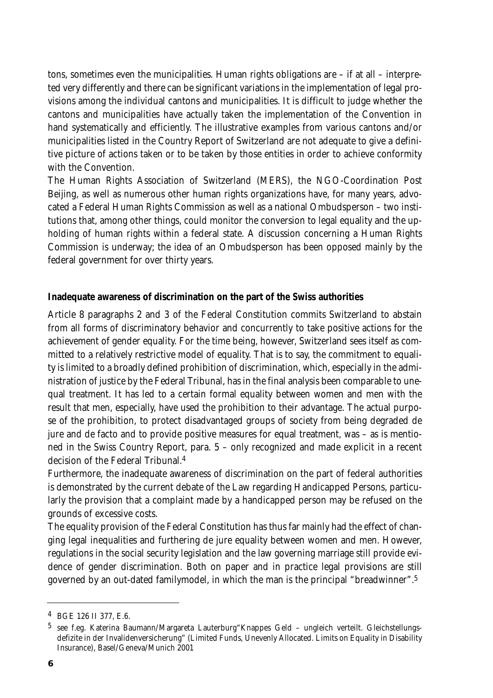tons, sometimes even the municipalities. Human rights obligations are – if at all – interpreted very differently and there can be significant variations in the implementation of legal provisions among the individual cantons and municipalities. It is difficult to judge whether the cantons and municipalities have actually taken the implementation of the Convention in hand systematically and efficiently. The illustrative examples from various cantons and/or municipalities listed in the Country Report of Switzerland are not adequate to give a definitive picture of actions taken or to be taken by those entities in order to achieve conformity with the Convention.

The Human Rights Association of Switzerland (MERS), the NGO-Coordination Post Beijing, as well as numerous other human rights organizations have, for many years, advocated a Federal Human Rights Commission as well as a national Ombudsperson – two institutions that, among other things, could monitor the conversion to legal equality and the upholding of human rights within a federal state. A discussion concerning a Human Rights Commission is underway; the idea of an Ombudsperson has been opposed mainly by the federal government for over thirty years.

#### **Inadequate awareness of discrimination on the part of the Swiss authorities**

Article 8 paragraphs 2 and 3 of the Federal Constitution commits Switzerland to abstain from all forms of discriminatory behavior and concurrently to take positive actions for the achievement of gender equality. For the time being, however, Switzerland sees itself as committed to a relatively restrictive model of equality. That is to say, the commitment to equality is limited to a broadly defined prohibition of discrimination, which, especially in the administration of justice by the Federal Tribunal, has in the final analysis been comparable to unequal treatment. It has led to a certain formal equality between women and men with the result that men, especially, have used the prohibition to their advantage. The actual purpose of the prohibition, to protect disadvantaged groups of society from being degraded de jure and de facto and to provide positive measures for equal treatment, was – as is mentioned in the Swiss Country Report, para. 5 – only recognized and made explicit in a recent decision of the Federal Tribunal.4

Furthermore, the inadequate awareness of discrimination on the part of federal authorities is demonstrated by the current debate of the Law regarding Handicapped Persons, particularly the provision that a complaint made by a handicapped person may be refused on the grounds of excessive costs.

The equality provision of the Federal Constitution has thus far mainly had the effect of changing legal inequalities and furthering de jure equality between women and men. However, regulations in the social security legislation and the law governing marriage still provide evidence of gender discrimination. Both on paper and in practice legal provisions are still governed by an out-dated familymodel, in which the man is the principal "breadwinner".5

<sup>4</sup> BGE 126 II 377, E.6.

<sup>5</sup> see f.eg. Katerina Baumann/Margareta Lauterburg"Knappes Geld – ungleich verteilt. Gleichstellungsdefizite in der Invalidenversicherung" (Limited Funds, Unevenly Allocated. Limits on Equality in Disability Insurance), Basel/Geneva/Munich 2001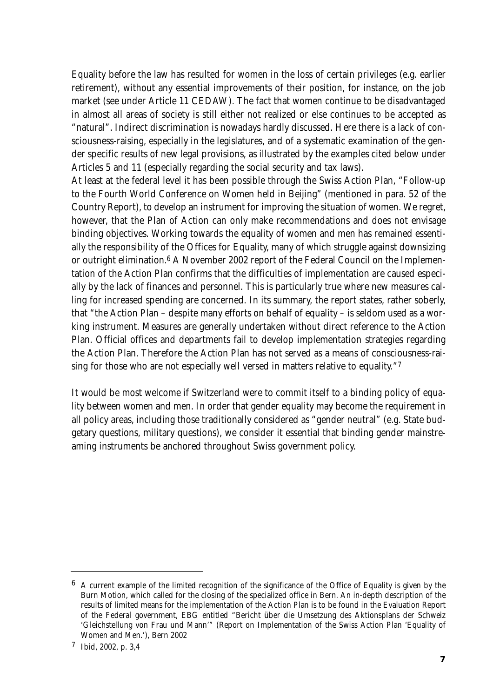Equality before the law has resulted for women in the loss of certain privileges (e.g. earlier retirement), without any essential improvements of their position, for instance, on the job market (see under Article 11 CEDAW). The fact that women continue to be disadvantaged in almost all areas of society is still either not realized or else continues to be accepted as "natural". Indirect discrimination is nowadays hardly discussed. Here there is a lack of consciousness-raising, especially in the legislatures, and of a systematic examination of the gender specific results of new legal provisions, as illustrated by the examples cited below under Articles 5 and 11 (especially regarding the social security and tax laws).

At least at the federal level it has been possible through the Swiss Action Plan, "Follow-up to the Fourth World Conference on Women held in Beijing" (mentioned in para. 52 of the Country Report), to develop an instrument for improving the situation of women. We regret, however, that the Plan of Action can only make recommendations and does not envisage binding objectives. Working towards the equality of women and men has remained essentially the responsibility of the Offices for Equality, many of which struggle against downsizing or outright elimination.6 A November 2002 report of the Federal Council on the Implementation of the Action Plan confirms that the difficulties of implementation are caused especially by the lack of finances and personnel. This is particularly true where new measures calling for increased spending are concerned. In its summary, the report states, rather soberly, that "the Action Plan – despite many efforts on behalf of equality – is seldom used as a working instrument. Measures are generally undertaken without direct reference to the Action Plan. Official offices and departments fail to develop implementation strategies regarding the Action Plan. Therefore the Action Plan has not served as a means of consciousness-raising for those who are not especially well versed in matters relative to equality."7

It would be most welcome if Switzerland were to commit itself to a binding policy of equality between women and men. In order that gender equality may become the requirement in all policy areas, including those traditionally considered as "gender neutral" (e.g. State budgetary questions, military questions), we consider it essential that binding gender mainstreaming instruments be anchored throughout Swiss government policy.

 $6\,$  A current example of the limited recognition of the significance of the Office of Equality is given by the Burn Motion, which called for the closing of the specialized office in Bern. An in-depth description of the results of limited means for the implementation of the Action Plan is to be found in the Evaluation Report of the Federal government, EBG entitled "Bericht über die Umsetzung des Aktionsplans der Schweiz 'Gleichstellung von Frau und Mann'" (Report on Implementation of the Swiss Action Plan 'Equality of Women and Men.'), Bern 2002

<sup>7</sup> Ibid, 2002, p. 3,4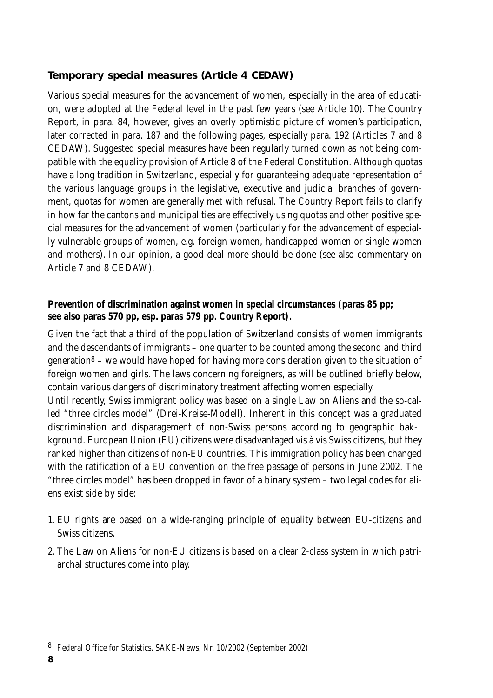# **Temporary special measures (Article 4 CEDAW)**

Various special measures for the advancement of women, especially in the area of education, were adopted at the Federal level in the past few years (see Article 10). The Country Report, in para. 84, however, gives an overly optimistic picture of women's participation, later corrected in para. 187 and the following pages, especially para. 192 (Articles 7 and 8 CEDAW). Suggested special measures have been regularly turned down as not being compatible with the equality provision of Article 8 of the Federal Constitution. Although quotas have a long tradition in Switzerland, especially for guaranteeing adequate representation of the various language groups in the legislative, executive and judicial branches of government, quotas for women are generally met with refusal. The Country Report fails to clarify in how far the cantons and municipalities are effectively using quotas and other positive special measures for the advancement of women (particularly for the advancement of especially vulnerable groups of women, e.g. foreign women, handicapped women or single women and mothers). In our opinion, a good deal more should be done (see also commentary on Article 7 and 8 CEDAW).

# **Prevention of discrimination against women in special circumstances (paras 85 pp; see also paras 570 pp, esp. paras 579 pp. Country Report).**

Given the fact that a third of the population of Switzerland consists of women immigrants and the descendants of immigrants – one quarter to be counted among the second and third generation $8 -$  we would have hoped for having more consideration given to the situation of foreign women and girls. The laws concerning foreigners, as will be outlined briefly below, contain various dangers of discriminatory treatment affecting women especially.

Until recently, Swiss immigrant policy was based on a single Law on Aliens and the so-called "three circles model" (Drei-Kreise-Modell). Inherent in this concept was a graduated discrimination and disparagement of non-Swiss persons according to geographic bakkground. European Union (EU) citizens were disadvantaged vis à vis Swiss citizens, but they ranked higher than citizens of non-EU countries. This immigration policy has been changed with the ratification of a EU convention on the free passage of persons in June 2002. The "three circles model" has been dropped in favor of a binary system – two legal codes for aliens exist side by side:

- 1. EU rights are based on a wide-ranging principle of equality between EU-citizens and Swiss citizens.
- 2. The Law on Aliens for non-EU citizens is based on a clear 2-class system in which patriarchal structures come into play.

<sup>8</sup> Federal Office for Statistics, SAKE-News, Nr. 10/2002 (September 2002)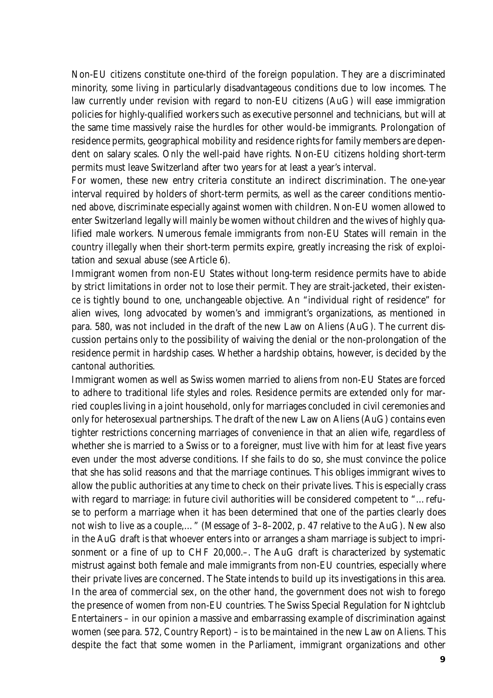Non-EU citizens constitute one-third of the foreign population. They are a discriminated minority, some living in particularly disadvantageous conditions due to low incomes. The law currently under revision with regard to non-EU citizens (AuG) will ease immigration policies for highly-qualified workers such as executive personnel and technicians, but will at the same time massively raise the hurdles for other would-be immigrants. Prolongation of residence permits, geographical mobility and residence rights for family members are dependent on salary scales. Only the well-paid have rights. Non-EU citizens holding short-term permits must leave Switzerland after two years for at least a year's interval.

For women, these new entry criteria constitute an indirect discrimination. The one-year interval required by holders of short-term permits, as well as the career conditions mentioned above, discriminate especially against women with children. Non-EU women allowed to enter Switzerland legally will mainly be women without children and the wives of highly qualified male workers. Numerous female immigrants from non-EU States will remain in the country illegally when their short-term permits expire, greatly increasing the risk of exploitation and sexual abuse (see Article 6).

Immigrant women from non-EU States without long-term residence permits have to abide by strict limitations in order not to lose their permit. They are strait-jacketed, their existence is tightly bound to one, unchangeable objective. An "individual right of residence" for alien wives, long advocated by women's and immigrant's organizations, as mentioned in para. 580, was not included in the draft of the new Law on Aliens (AuG). The current discussion pertains only to the possibility of waiving the denial or the non-prolongation of the residence permit in hardship cases. Whether a hardship obtains, however, is decided by the cantonal authorities.

Immigrant women as well as Swiss women married to aliens from non-EU States are forced to adhere to traditional life styles and roles. Residence permits are extended only for married couples living in a joint household, only for marriages concluded in civil ceremonies and only for heterosexual partnerships. The draft of the new Law on Aliens (AuG) contains even tighter restrictions concerning marriages of convenience in that an alien wife, regardless of whether she is married to a Swiss or to a foreigner, must live with him for at least five years even under the most adverse conditions. If she fails to do so, she must convince the police that she has solid reasons and that the marriage continues. This obliges immigrant wives to allow the public authorities at any time to check on their private lives. This is especially crass with regard to marriage: in future civil authorities will be considered competent to "…refuse to perform a marriage when it has been determined that one of the parties clearly does not wish to live as a couple,…" (Message of 3–8–2002, p. 47 relative to the AuG). New also in the AuG draft is that whoever enters into or arranges a sham marriage is subject to imprisonment or a fine of up to CHF 20,000.–. The AuG draft is characterized by systematic mistrust against both female and male immigrants from non-EU countries, especially where their private lives are concerned. The State intends to build up its investigations in this area. In the area of commercial sex, on the other hand, the government does not wish to forego the presence of women from non-EU countries. The Swiss Special Regulation for Nightclub Entertainers – in our opinion a massive and embarrassing example of discrimination against women (see para. 572, Country Report) – is to be maintained in the new Law on Aliens. This despite the fact that some women in the Parliament, immigrant organizations and other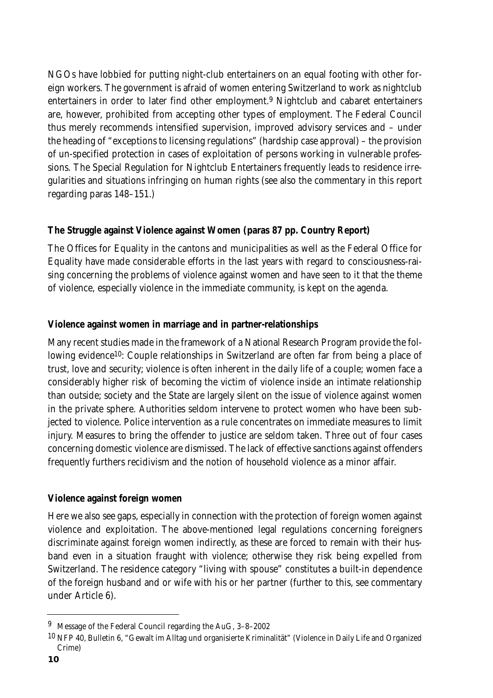NGOs have lobbied for putting night-club entertainers on an equal footing with other foreign workers. The government is afraid of women entering Switzerland to work as nightclub entertainers in order to later find other employment.<sup>9</sup> Nightclub and cabaret entertainers are, however, prohibited from accepting other types of employment. The Federal Council thus merely recommends intensified supervision, improved advisory services and – under the heading of "exceptions to licensing regulations" (hardship case approval) – the provision of un-specified protection in cases of exploitation of persons working in vulnerable professions. The Special Regulation for Nightclub Entertainers frequently leads to residence irregularities and situations infringing on human rights (see also the commentary in this report regarding paras 148–151.)

## **The Struggle against Violence against Women (paras 87 pp. Country Report)**

The Offices for Equality in the cantons and municipalities as well as the Federal Office for Equality have made considerable efforts in the last years with regard to consciousness-raising concerning the problems of violence against women and have seen to it that the theme of violence, especially violence in the immediate community, is kept on the agenda.

## **Violence against women in marriage and in partner-relationships**

Many recent studies made in the framework of a National Research Program provide the following evidence<sup>10</sup>: Couple relationships in Switzerland are often far from being a place of trust, love and security; violence is often inherent in the daily life of a couple; women face a considerably higher risk of becoming the victim of violence inside an intimate relationship than outside; society and the State are largely silent on the issue of violence against women in the private sphere. Authorities seldom intervene to protect women who have been subjected to violence. Police intervention as a rule concentrates on immediate measures to limit injury. Measures to bring the offender to justice are seldom taken. Three out of four cases concerning domestic violence are dismissed. The lack of effective sanctions against offenders frequently furthers recidivism and the notion of household violence as a minor affair.

#### **Violence against foreign women**

Here we also see gaps, especially in connection with the protection of foreign women against violence and exploitation. The above-mentioned legal regulations concerning foreigners discriminate against foreign women indirectly, as these are forced to remain with their husband even in a situation fraught with violence; otherwise they risk being expelled from Switzerland. The residence category "living with spouse" constitutes a built-in dependence of the foreign husband and or wife with his or her partner (further to this, see commentary under Article 6).

<sup>9</sup> Message of the Federal Council regarding the AuG, 3–8–2002

<sup>10</sup> NFP 40, Bulletin 6, "Gewalt im Alltag und organisierte Kriminalität" (Violence in Daily Life and Organized Crime)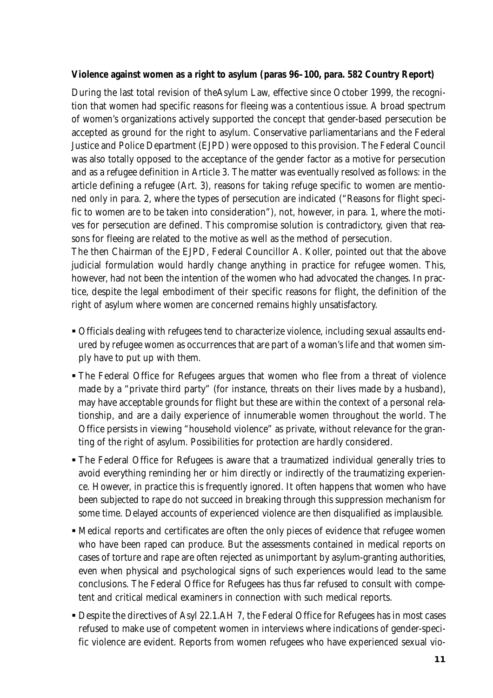#### **Violence against women as a right to asylum (paras 96–100, para. 582 Country Report)**

During the last total revision of theAsylum Law, effective since October 1999, the recognition that women had specific reasons for fleeing was a contentious issue. A broad spectrum of women's organizations actively supported the concept that gender-based persecution be accepted as ground for the right to asylum. Conservative parliamentarians and the Federal Justice and Police Department (EJPD) were opposed to this provision. The Federal Council was also totally opposed to the acceptance of the gender factor as a motive for persecution and as a refugee definition in Article 3. The matter was eventually resolved as follows: in the article defining a refugee (Art. 3), reasons for taking refuge specific to women are mentioned only in para. 2, where the types of persecution are indicated ("Reasons for flight specific to women are to be taken into consideration"), not, however, in para. 1, where the motives for persecution are defined. This compromise solution is contradictory, given that reasons for fleeing are related to the motive as well as the method of persecution.

The then Chairman of the EJPD, Federal Councillor A. Koller, pointed out that the above judicial formulation would hardly change anything in practice for refugee women. This, however, had not been the intention of the women who had advocated the changes. In practice, despite the legal embodiment of their specific reasons for flight, the definition of the right of asylum where women are concerned remains highly unsatisfactory.

- Officials dealing with refugees tend to characterize violence, including sexual assaults endured by refugee women as occurrences that are part of a woman's life and that women simply have to put up with them.
- The Federal Office for Refugees argues that women who flee from a threat of violence made by a "private third party" (for instance, threats on their lives made by a husband), may have acceptable grounds for flight but these are within the context of a personal relationship, and are a daily experience of innumerable women throughout the world. The Office persists in viewing "household violence" as private, without relevance for the granting of the right of asylum. Possibilities for protection are hardly considered.
- The Federal Office for Refugees is aware that a traumatized individual generally tries to avoid everything reminding her or him directly or indirectly of the traumatizing experience. However, in practice this is frequently ignored. It often happens that women who have been subjected to rape do not succeed in breaking through this suppression mechanism for some time. Delayed accounts of experienced violence are then disqualified as implausible.
- Medical reports and certificates are often the only pieces of evidence that refugee women who have been raped can produce. But the assessments contained in medical reports on cases of torture and rape are often rejected as unimportant by asylum-granting authorities, even when physical and psychological signs of such experiences would lead to the same conclusions. The Federal Office for Refugees has thus far refused to consult with competent and critical medical examiners in connection with such medical reports.
- **Despite the directives of Asyl 22.1.AH 7, the Federal Office for Refugees has in most cases** refused to make use of competent women in interviews where indications of gender-specific violence are evident. Reports from women refugees who have experienced sexual vio-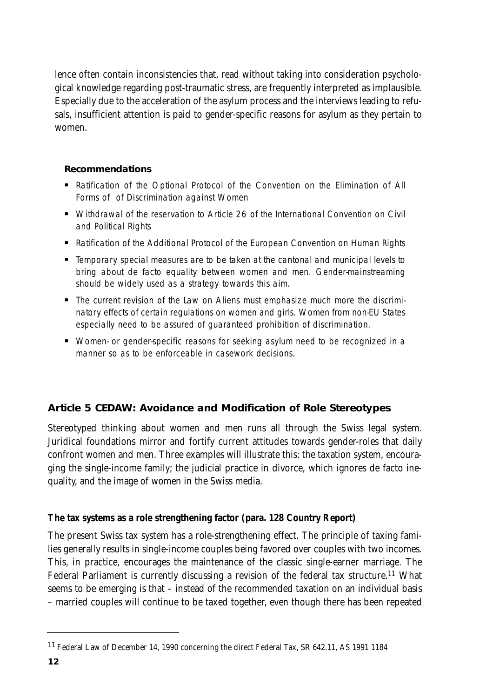lence often contain inconsistencies that, read without taking into consideration psychological knowledge regarding post-traumatic stress, are frequently interpreted as implausible. Especially due to the acceleration of the asylum process and the interviews leading to refusals, insufficient attention is paid to gender-specific reasons for asylum as they pertain to women.

#### **Recommendations**

- **-** Ratification of the Optional Protocol of the Convention on the Elimination of All Forms of of Discrimination against Women
- Withdrawal of the reservation to Article 26 of the International Convention on Civil and Political Rights
- **-** Ratification of the Additional Protocol of the European Convention on Human Rights
- Temporary special measures are to be taken at the cantonal and municipal levels to bring about de facto equality between women and men. Gender-mainstreaming should be widely used as a strategy towards this aim.
- The current revision of the Law on Aliens must emphasize much more the discriminatory effects of certain regulations on women and girls. Women from non-EU States especially need to be assured of guaranteed prohibition of discrimination.
- Women- or gender-specific reasons for seeking asylum need to be recognized in a manner so as to be enforceable in casework decisions.

# **Article 5 CEDAW: Avoidance and Modification of Role Stereotypes**

Stereotyped thinking about women and men runs all through the Swiss legal system. Juridical foundations mirror and fortify current attitudes towards gender-roles that daily confront women and men. Three examples will illustrate this: the taxation system, encouraging the single-income family; the judicial practice in divorce, which ignores de facto inequality, and the image of women in the Swiss media.

# **The tax systems as a role strengthening factor (para. 128 Country Report)**

The present Swiss tax system has a role-strengthening effect. The principle of taxing families generally results in single-income couples being favored over couples with two incomes. This, in practice, encourages the maintenance of the classic single-earner marriage. The Federal Parliament is currently discussing a revision of the federal tax structure.<sup>11</sup> What seems to be emerging is that – instead of the recommended taxation on an individual basis – married couples will continue to be taxed together, even though there has been repeated

<sup>11</sup> Federal Law of December 14, 1990 concerning the direct Federal Tax, SR 642.11, AS 1991 1184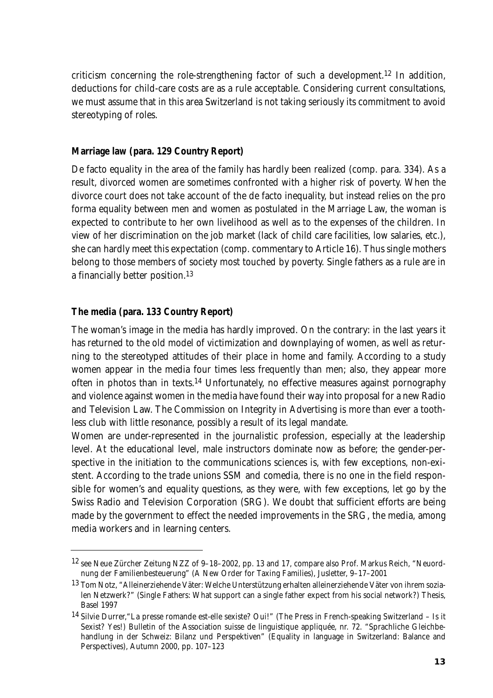criticism concerning the role-strengthening factor of such a development.12 In addition, deductions for child-care costs are as a rule acceptable. Considering current consultations, we must assume that in this area Switzerland is not taking seriously its commitment to avoid stereotyping of roles.

#### **Marriage law (para. 129 Country Report)**

De facto equality in the area of the family has hardly been realized (comp. para. 334). As a result, divorced women are sometimes confronted with a higher risk of poverty. When the divorce court does not take account of the de facto inequality, but instead relies on the pro forma equality between men and women as postulated in the Marriage Law, the woman is expected to contribute to her own livelihood as well as to the expenses of the children. In view of her discrimination on the job market (lack of child care facilities, low salaries, etc.), she can hardly meet this expectation (comp. commentary to Article 16). Thus single mothers belong to those members of society most touched by poverty. Single fathers as a rule are in a financially better position.13

#### **The media (para. 133 Country Report)**

The woman's image in the media has hardly improved. On the contrary: in the last years it has returned to the old model of victimization and downplaying of women, as well as returning to the stereotyped attitudes of their place in home and family. According to a study women appear in the media four times less frequently than men; also, they appear more often in photos than in texts.14 Unfortunately, no effective measures against pornography and violence against women in the media have found their way into proposal for a new Radio and Television Law. The Commission on Integrity in Advertising is more than ever a toothless club with little resonance, possibly a result of its legal mandate.

Women are under-represented in the journalistic profession, especially at the leadership level. At the educational level, male instructors dominate now as before; the gender-perspective in the initiation to the communications sciences is, with few exceptions, non-existent. According to the trade unions SSM and comedia, there is no one in the field responsible for women's and equality questions, as they were, with few exceptions, let go by the Swiss Radio and Television Corporation (SRG). We doubt that sufficient efforts are being made by the government to effect the needed improvements in the SRG, the media, among media workers and in learning centers.

<sup>12</sup> see Neue Zürcher Zeitung NZZ of 9–18–2002, pp. 13 and 17, compare also Prof. Markus Reich, "Neuordnung der Familienbesteuerung" (A New Order for Taxing Families), Jusletter, 9–17–2001

<sup>13</sup> Tom Notz, "Alleinerziehende Väter: Welche Unterstützung erhalten alleinerziehende Väter von ihrem sozialen Netzwerk?" (Single Fathers: What support can a single father expect from his social network?) Thesis, Basel 1997

<sup>14</sup> Silvie Durrer,"La presse romande est-elle sexiste? Oui!" (The Press in French-speaking Switzerland – Is it Sexist? Yes!) Bulletin of the Association suisse de linguistique appliquée, nr. 72. "Sprachliche Gleichbehandlung in der Schweiz: Bilanz und Perspektiven" (Equality in language in Switzerland: Balance and Perspectives), Autumn 2000, pp. 107–123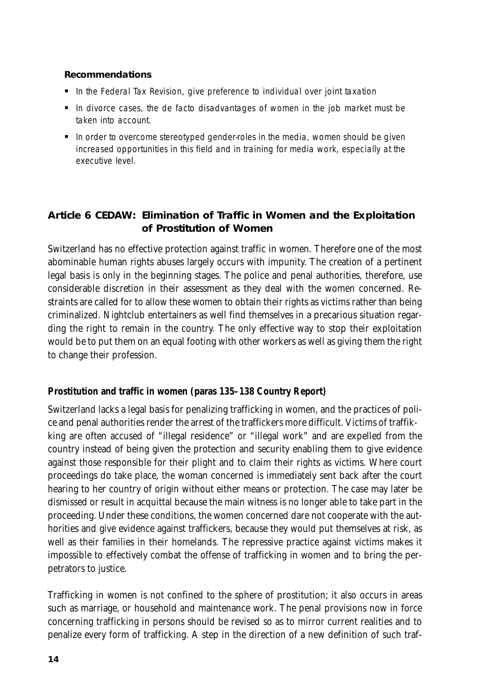#### **Recommendations**

- In the Federal Tax Revision, give preference to individual over joint taxation
- In divorce cases, the de facto disadvantages of women in the job market must be taken into account.
- $\blacksquare$  In order to overcome stereotyped gender-roles in the media, women should be given increased opportunities in this field and in training for media work, especially at the executive level.

# **Article 6 CEDAW: Elimination of Traffic in Women and the Exploitation of Prostitution of Women**

Switzerland has no effective protection against traffic in women. Therefore one of the most abominable human rights abuses largely occurs with impunity. The creation of a pertinent legal basis is only in the beginning stages. The police and penal authorities, therefore, use considerable discretion in their assessment as they deal with the women concerned. Restraints are called for to allow these women to obtain their rights as victims rather than being criminalized. Nightclub entertainers as well find themselves in a precarious situation regarding the right to remain in the country. The only effective way to stop their exploitation would be to put them on an equal footing with other workers as well as giving them the right to change their profession.

#### **Prostitution and traffic in women (paras 135–138 Country Report)**

Switzerland lacks a legal basis for penalizing trafficking in women, and the practices of police and penal authorities render the arrest of the traffickers more difficult. Victims of traffikking are often accused of "illegal residence" or "illegal work" and are expelled from the country instead of being given the protection and security enabling them to give evidence against those responsible for their plight and to claim their rights as victims. Where court proceedings do take place, the woman concerned is immediately sent back after the court hearing to her country of origin without either means or protection. The case may later be dismissed or result in acquittal because the main witness is no longer able to take part in the proceeding. Under these conditions, the women concerned dare not cooperate with the authorities and give evidence against traffickers, because they would put themselves at risk, as well as their families in their homelands. The repressive practice against victims makes it impossible to effectively combat the offense of trafficking in women and to bring the perpetrators to justice.

Trafficking in women is not confined to the sphere of prostitution; it also occurs in areas such as marriage, or household and maintenance work. The penal provisions now in force concerning trafficking in persons should be revised so as to mirror current realities and to penalize every form of trafficking. A step in the direction of a new definition of such traf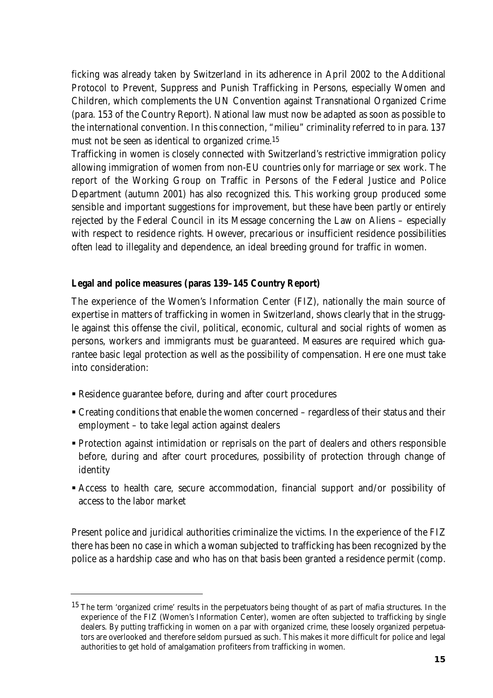ficking was already taken by Switzerland in its adherence in April 2002 to the Additional Protocol to Prevent, Suppress and Punish Trafficking in Persons, especially Women and Children, which complements the UN Convention against Transnational Organized Crime (para. 153 of the Country Report). National law must now be adapted as soon as possible to the international convention. In this connection, "milieu" criminality referred to in para. 137 must not be seen as identical to organized crime.15

Trafficking in women is closely connected with Switzerland's restrictive immigration policy allowing immigration of women from non-EU countries only for marriage or sex work. The report of the Working Group on Traffic in Persons of the Federal Justice and Police Department (autumn 2001) has also recognized this. This working group produced some sensible and important suggestions for improvement, but these have been partly or entirely rejected by the Federal Council in its Message concerning the Law on Aliens – especially with respect to residence rights. However, precarious or insufficient residence possibilities often lead to illegality and dependence, an ideal breeding ground for traffic in women.

## **Legal and police measures (paras 139–145 Country Report)**

The experience of the Women's Information Center (FIZ), nationally the main source of expertise in matters of trafficking in women in Switzerland, shows clearly that in the struggle against this offense the civil, political, economic, cultural and social rights of women as persons, workers and immigrants must be guaranteed. Measures are required which guarantee basic legal protection as well as the possibility of compensation. Here one must take into consideration:

- Residence guarantee before, during and after court procedures
- Creating conditions that enable the women concerned regardless of their status and their employment – to take legal action against dealers
- Protection against intimidation or reprisals on the part of dealers and others responsible before, during and after court procedures, possibility of protection through change of identity
- Access to health care, secure accommodation, financial support and/or possibility of access to the labor market

Present police and juridical authorities criminalize the victims. In the experience of the FIZ there has been no case in which a woman subjected to trafficking has been recognized by the police as a hardship case and who has on that basis been granted a residence permit (comp.

<sup>&</sup>lt;sup>15</sup> The term 'organized crime' results in the perpetuators being thought of as part of mafia structures. In the experience of the FIZ (Women's Information Center), women are often subjected to trafficking by single dealers. By putting trafficking in women on a par with organized crime, these loosely organized perpetuators are overlooked and therefore seldom pursued as such. This makes it more difficult for police and legal authorities to get hold of amalgamation profiteers from trafficking in women.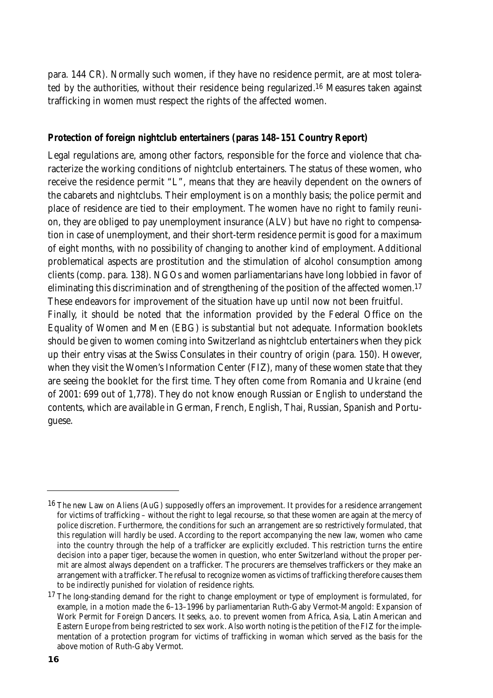para. 144 CR). Normally such women, if they have no residence permit, are at most tolerated by the authorities, without their residence being regularized.16 Measures taken against trafficking in women must respect the rights of the affected women.

#### **Protection of foreign nightclub entertainers (paras 148–151 Country Report)**

Legal regulations are, among other factors, responsible for the force and violence that characterize the working conditions of nightclub entertainers. The status of these women, who receive the residence permit "L", means that they are heavily dependent on the owners of the cabarets and nightclubs. Their employment is on a monthly basis; the police permit and place of residence are tied to their employment. The women have no right to family reunion, they are obliged to pay unemployment insurance (ALV) but have no right to compensation in case of unemployment, and their short-term residence permit is good for a maximum of eight months, with no possibility of changing to another kind of employment. Additional problematical aspects are prostitution and the stimulation of alcohol consumption among clients (comp. para. 138). NGOs and women parliamentarians have long lobbied in favor of eliminating this discrimination and of strengthening of the position of the affected women.<sup>17</sup> These endeavors for improvement of the situation have up until now not been fruitful.

Finally, it should be noted that the information provided by the Federal Office on the Equality of Women and Men (EBG) is substantial but not adequate. Information booklets should be given to women coming into Switzerland as nightclub entertainers when they pick up their entry visas at the Swiss Consulates in their country of origin (para. 150). However, when they visit the Women's Information Center (FIZ), many of these women state that they are seeing the booklet for the first time. They often come from Romania and Ukraine (end of 2001: 699 out of 1,778). They do not know enough Russian or English to understand the contents, which are available in German, French, English, Thai, Russian, Spanish and Portuguese.

 $16$  The new Law on Aliens (AuG) supposedly offers an improvement. It provides for a residence arrangement for victims of trafficking – without the right to legal recourse, so that these women are again at the mercy of police discretion. Furthermore, the conditions for such an arrangement are so restrictively formulated, that this regulation will hardly be used. According to the report accompanying the new law, women who came into the country through the help of a trafficker are explicitly excluded. This restriction turns the entire decision into a paper tiger, because the women in question, who enter Switzerland without the proper permit are almost always dependent on a trafficker. The procurers are themselves traffickers or they make an arrangement with a trafficker. The refusal to recognize women as victims of trafficking therefore causes them to be indirectly punished for violation of residence rights.

<sup>&</sup>lt;sup>17</sup> The long-standing demand for the right to change employment or type of employment is formulated, for example, in a motion made the 6–13–1996 by parliamentarian Ruth-Gaby Vermot-Mangold: Expansion of Work Permit for Foreign Dancers. It seeks, a.o. to prevent women from Africa, Asia, Latin American and Eastern Europe from being restricted to sex work. Also worth noting is the petition of the FIZ for the implementation of a protection program for victims of trafficking in woman which served as the basis for the above motion of Ruth-Gaby Vermot.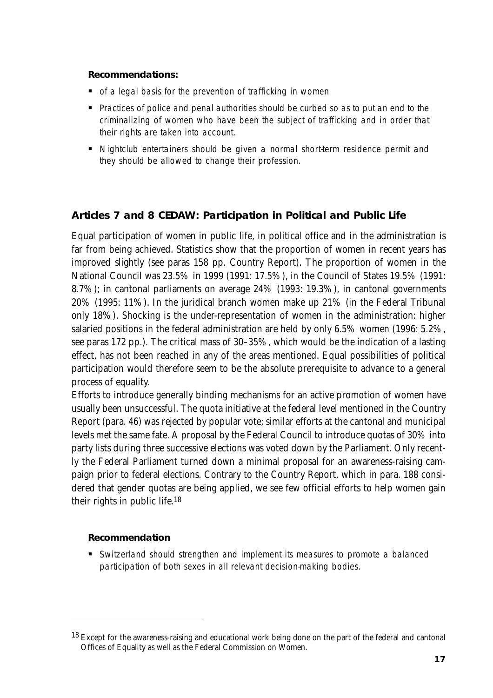#### **Recommendations:**

- of a legal basis for the prevention of trafficking in women
- **Practices of police and penal authorities should be curbed so as to put an end to the** criminalizing of women who have been the subject of trafficking and in order that their rights are taken into account.
- Nightclub entertainers should be given a normal short-term residence permit and they should be allowed to change their profession.

# **Articles 7 and 8 CEDAW: Participation in Political and Public Life**

Equal participation of women in public life, in political office and in the administration is far from being achieved. Statistics show that the proportion of women in recent years has improved slightly (see paras 158 pp. Country Report). The proportion of women in the National Council was 23.5% in 1999 (1991: 17.5%), in the Council of States 19.5% (1991: 8.7%); in cantonal parliaments on average 24% (1993: 19.3%), in cantonal governments 20% (1995: 11%). In the juridical branch women make up 21% (in the Federal Tribunal only 18%). Shocking is the under-representation of women in the administration: higher salaried positions in the federal administration are held by only 6.5% women (1996: 5.2%, see paras 172 pp.). The critical mass of 30–35%, which would be the indication of a lasting effect, has not been reached in any of the areas mentioned. Equal possibilities of political participation would therefore seem to be the absolute prerequisite to advance to a general process of equality.

Efforts to introduce generally binding mechanisms for an active promotion of women have usually been unsuccessful. The quota initiative at the federal level mentioned in the Country Report (para. 46) was rejected by popular vote; similar efforts at the cantonal and municipal levels met the same fate. A proposal by the Federal Council to introduce quotas of 30% into party lists during three successive elections was voted down by the Parliament. Only recently the Federal Parliament turned down a minimal proposal for an awareness-raising campaign prior to federal elections. Contrary to the Country Report, which in para. 188 considered that gender quotas are being applied, we see few official efforts to help women gain their rights in public life.18

#### **Recommendation**

- Switzerland should strengthen and implement its measures to promote a balanced participation of both sexes in all relevant decision-making bodies.

<sup>&</sup>lt;sup>18</sup> Except for the awareness-raising and educational work being done on the part of the federal and cantonal Offices of Equality as well as the Federal Commission on Women.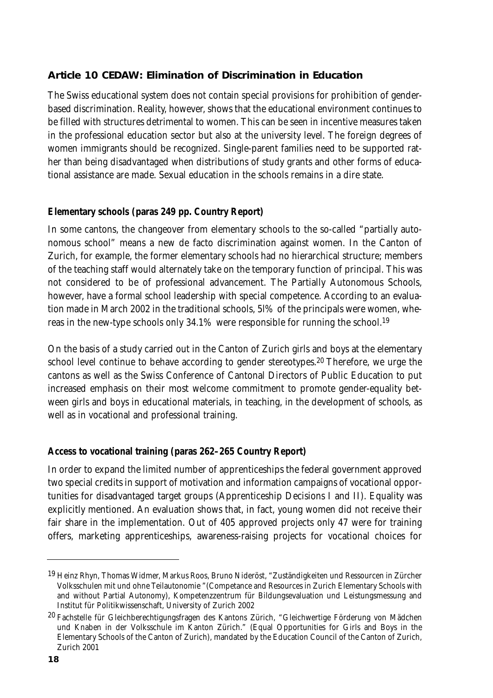# **Article 10 CEDAW: Elimination of Discrimination in Education**

The Swiss educational system does not contain special provisions for prohibition of genderbased discrimination. Reality, however, shows that the educational environment continues to be filled with structures detrimental to women. This can be seen in incentive measures taken in the professional education sector but also at the university level. The foreign degrees of women immigrants should be recognized. Single-parent families need to be supported rather than being disadvantaged when distributions of study grants and other forms of educational assistance are made. Sexual education in the schools remains in a dire state.

## **Elementary schools (paras 249 pp. Country Report)**

In some cantons, the changeover from elementary schools to the so-called "partially autonomous school" means a new de facto discrimination against women. In the Canton of Zurich, for example, the former elementary schools had no hierarchical structure; members of the teaching staff would alternately take on the temporary function of principal. This was not considered to be of professional advancement. The Partially Autonomous Schools, however, have a formal school leadership with special competence. According to an evaluation made in March 2002 in the traditional schools, 5l% of the principals were women, whereas in the new-type schools only 34.1% were responsible for running the school.19

On the basis of a study carried out in the Canton of Zurich girls and boys at the elementary school level continue to behave according to gender stereotypes.<sup>20</sup> Therefore, we urge the cantons as well as the Swiss Conference of Cantonal Directors of Public Education to put increased emphasis on their most welcome commitment to promote gender-equality between girls and boys in educational materials, in teaching, in the development of schools, as well as in vocational and professional training.

# **Access to vocational training (paras 262–265 Country Report)**

In order to expand the limited number of apprenticeships the federal government approved two special credits in support of motivation and information campaigns of vocational opportunities for disadvantaged target groups (Apprenticeship Decisions I and II). Equality was explicitly mentioned. An evaluation shows that, in fact, young women did not receive their fair share in the implementation. Out of 405 approved projects only 47 were for training offers, marketing apprenticeships, awareness-raising projects for vocational choices for

<sup>19</sup> Heinz Rhyn, Thomas Widmer, Markus Roos, Bruno Nideröst, "Zuständigkeiten und Ressourcen in Zürcher Volksschulen mit und ohne Teilautonomie "(Competance and Resources in Zurich Elementary Schools with and without Partial Autonomy), Kompetenzzentrum für Bildungsevaluation und Leistungsmessung and Institut für Politikwissenschaft, University of Zurich 2002

<sup>&</sup>lt;sup>20</sup> Fachstelle für Gleichberechtigungsfragen des Kantons Zürich, "Gleichwertige Förderung von Mädchen und Knaben in der Volksschule im Kanton Zürich." (Equal Opportunities for Girls and Boys in the Elementary Schools of the Canton of Zurich), mandated by the Education Council of the Canton of Zurich, Zurich 2001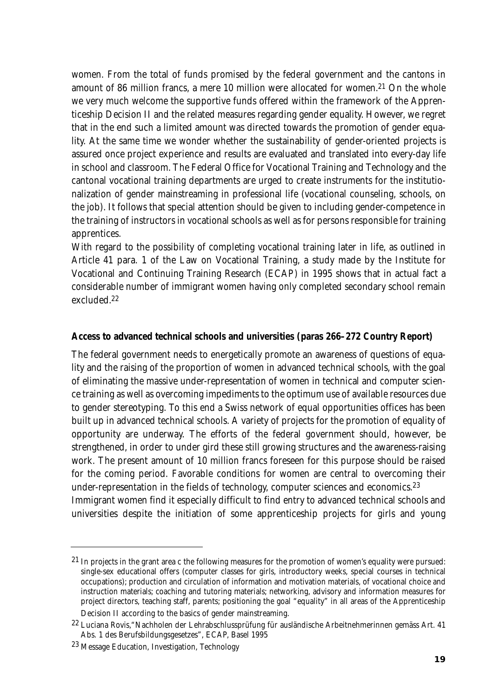women. From the total of funds promised by the federal government and the cantons in amount of 86 million francs, a mere 10 million were allocated for women.21 On the whole we very much welcome the supportive funds offered within the framework of the Apprenticeship Decision II and the related measures regarding gender equality. However, we regret that in the end such a limited amount was directed towards the promotion of gender equality. At the same time we wonder whether the sustainability of gender-oriented projects is assured once project experience and results are evaluated and translated into every-day life in school and classroom. The Federal Office for Vocational Training and Technology and the cantonal vocational training departments are urged to create instruments for the institutionalization of gender mainstreaming in professional life (vocational counseling, schools, on the job). It follows that special attention should be given to including gender-competence in the training of instructors in vocational schools as well as for persons responsible for training apprentices.

With regard to the possibility of completing vocational training later in life, as outlined in Article 41 para. 1 of the Law on Vocational Training, a study made by the Institute for Vocational and Continuing Training Research (ECAP) in 1995 shows that in actual fact a considerable number of immigrant women having only completed secondary school remain excluded.22

#### **Access to advanced technical schools and universities (paras 266–272 Country Report)**

The federal government needs to energetically promote an awareness of questions of equality and the raising of the proportion of women in advanced technical schools, with the goal of eliminating the massive under-representation of women in technical and computer science training as well as overcoming impediments to the optimum use of available resources due to gender stereotyping. To this end a Swiss network of equal opportunities offices has been built up in advanced technical schools. A variety of projects for the promotion of equality of opportunity are underway. The efforts of the federal government should, however, be strengthened, in order to under gird these still growing structures and the awareness-raising work. The present amount of 10 million francs foreseen for this purpose should be raised for the coming period. Favorable conditions for women are central to overcoming their under-representation in the fields of technology, computer sciences and economics.23 Immigrant women find it especially difficult to find entry to advanced technical schools and universities despite the initiation of some apprenticeship projects for girls and young

<sup>21</sup> In projects in the grant area c the following measures for the promotion of women's equality were pursued: single-sex educational offers (computer classes for girls, introductory weeks, special courses in technical occupations); production and circulation of information and motivation materials, of vocational choice and instruction materials; coaching and tutoring materials; networking, advisory and information measures for project directors, teaching staff, parents; positioning the goal "equality" in all areas of the Apprenticeship Decision II according to the basics of gender mainstreaming.

<sup>22</sup> Luciana Rovis,"Nachholen der Lehrabschlussprüfung für ausländische Arbeitnehmerinnen gemäss Art. 41 Abs. 1 des Berufsbildungsgesetzes", ECAP, Basel 1995

<sup>23</sup> Message Education, Investigation, Technology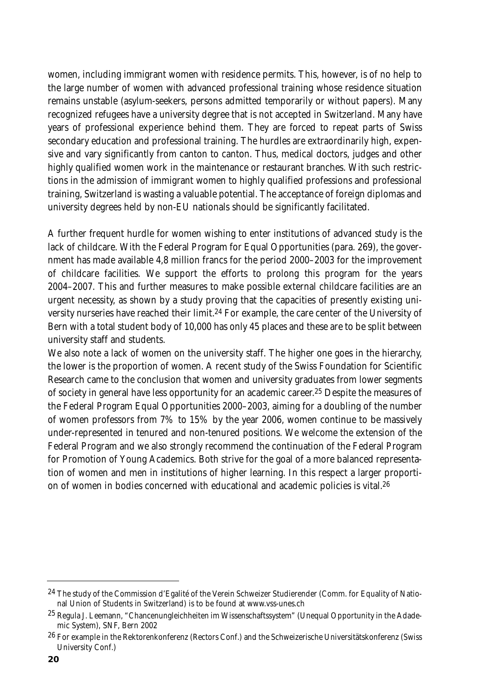women, including immigrant women with residence permits. This, however, is of no help to the large number of women with advanced professional training whose residence situation remains unstable (asylum-seekers, persons admitted temporarily or without papers). Many recognized refugees have a university degree that is not accepted in Switzerland. Many have years of professional experience behind them. They are forced to repeat parts of Swiss secondary education and professional training. The hurdles are extraordinarily high, expensive and vary significantly from canton to canton. Thus, medical doctors, judges and other highly qualified women work in the maintenance or restaurant branches. With such restrictions in the admission of immigrant women to highly qualified professions and professional training, Switzerland is wasting a valuable potential. The acceptance of foreign diplomas and university degrees held by non-EU nationals should be significantly facilitated.

A further frequent hurdle for women wishing to enter institutions of advanced study is the lack of childcare. With the Federal Program for Equal Opportunities (para. 269), the government has made available 4,8 million francs for the period 2000–2003 for the improvement of childcare facilities. We support the efforts to prolong this program for the years 2004–2007. This and further measures to make possible external childcare facilities are an urgent necessity, as shown by a study proving that the capacities of presently existing university nurseries have reached their limit.<sup>24</sup> For example, the care center of the University of Bern with a total student body of 10,000 has only 45 places and these are to be split between university staff and students.

We also note a lack of women on the university staff. The higher one goes in the hierarchy, the lower is the proportion of women. A recent study of the Swiss Foundation for Scientific Research came to the conclusion that women and university graduates from lower segments of society in general have less opportunity for an academic career.<sup>25</sup> Despite the measures of the Federal Program Equal Opportunities 2000–2003, aiming for a doubling of the number of women professors from 7% to 15% by the year 2006, women continue to be massively under-represented in tenured and non-tenured positions. We welcome the extension of the Federal Program and we also strongly recommend the continuation of the Federal Program for Promotion of Young Academics. Both strive for the goal of a more balanced representation of women and men in institutions of higher learning. In this respect a larger proportion of women in bodies concerned with educational and academic policies is vital.26

<sup>&</sup>lt;sup>24</sup> The study of the Commission d'Egalité of the Verein Schweizer Studierender (Comm. for Equality of National Union of Students in Switzerland) is to be found at www.vss-unes.ch

<sup>25</sup> Regula J. Leemann, "Chancenungleichheiten im Wissenschaftssystem" (Unequal Opportunity in the Adademic System), SNF, Bern 2002

<sup>&</sup>lt;sup>26</sup> For example in the Rektorenkonferenz (Rectors Conf.) and the Schweizerische Universitätskonferenz (Swiss University Conf.)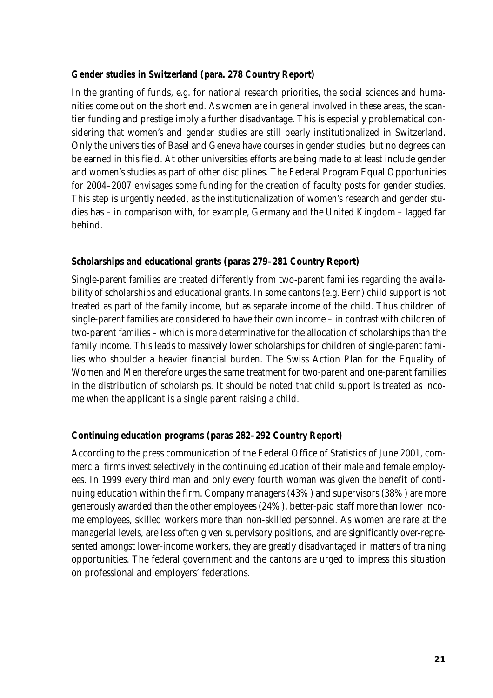#### **Gender studies in Switzerland (para. 278 Country Report)**

In the granting of funds, e.g. for national research priorities, the social sciences and humanities come out on the short end. As women are in general involved in these areas, the scantier funding and prestige imply a further disadvantage. This is especially problematical considering that women's and gender studies are still bearly institutionalized in Switzerland. Only the universities of Basel and Geneva have courses in gender studies, but no degrees can be earned in this field. At other universities efforts are being made to at least include gender and women's studies as part of other disciplines. The Federal Program Equal Opportunities for 2004–2007 envisages some funding for the creation of faculty posts for gender studies. This step is urgently needed, as the institutionalization of women's research and gender studies has – in comparison with, for example, Germany and the United Kingdom – lagged far behind.

## **Scholarships and educational grants (paras 279–281 Country Report)**

Single-parent families are treated differently from two-parent families regarding the availability of scholarships and educational grants. In some cantons (e.g. Bern) child support is not treated as part of the family income, but as separate income of the child. Thus children of single-parent families are considered to have their own income – in contrast with children of two-parent families – which is more determinative for the allocation of scholarships than the family income. This leads to massively lower scholarships for children of single-parent families who shoulder a heavier financial burden. The Swiss Action Plan for the Equality of Women and Men therefore urges the same treatment for two-parent and one-parent families in the distribution of scholarships. It should be noted that child support is treated as income when the applicant is a single parent raising a child.

#### **Continuing education programs (paras 282–292 Country Report)**

According to the press communication of the Federal Office of Statistics of June 2001, commercial firms invest selectively in the continuing education of their male and female employees. In 1999 every third man and only every fourth woman was given the benefit of continuing education within the firm. Company managers (43%) and supervisors (38%) are more generously awarded than the other employees (24%), better-paid staff more than lower income employees, skilled workers more than non-skilled personnel. As women are rare at the managerial levels, are less often given supervisory positions, and are significantly over-represented amongst lower-income workers, they are greatly disadvantaged in matters of training opportunities. The federal government and the cantons are urged to impress this situation on professional and employers' federations.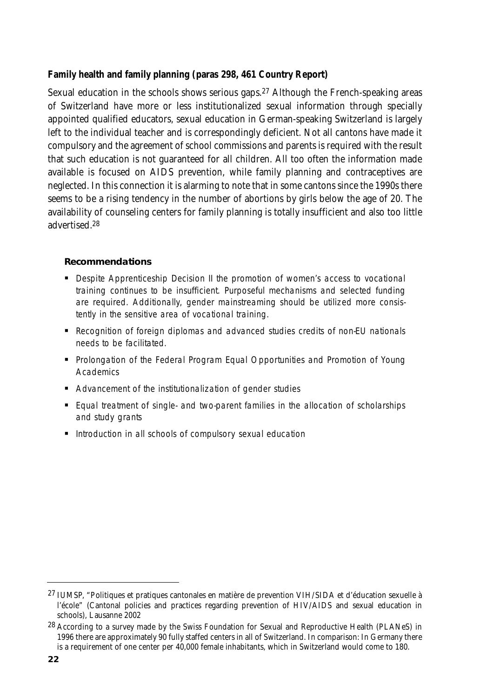## **Family health and family planning (paras 298, 461 Country Report)**

Sexual education in the schools shows serious gaps.<sup>27</sup> Although the French-speaking areas of Switzerland have more or less institutionalized sexual information through specially appointed qualified educators, sexual education in German-speaking Switzerland is largely left to the individual teacher and is correspondingly deficient. Not all cantons have made it compulsory and the agreement of school commissions and parents is required with the result that such education is not guaranteed for all children. All too often the information made available is focused on AIDS prevention, while family planning and contraceptives are neglected. In this connection it is alarming to note that in some cantons since the 1990s there seems to be a rising tendency in the number of abortions by girls below the age of 20. The availability of counseling centers for family planning is totally insufficient and also too little advertised.28

## **Recommendations**

- **-** Despite Apprenticeship Decision II the promotion of women's access to vocational training continues to be insufficient. Purposeful mechanisms and selected funding are required. Additionally, gender mainstreaming should be utilized more consistently in the sensitive area of vocational training.
- Recognition of foreign diplomas and advanced studies credits of non-EU nationals needs to be facilitated.
- **Prolongation of the Federal Program Equal Opportunities and Promotion of Young Academics**
- **E** Advancement of the institutionalization of gender studies
- **Equal treatment of single- and two-parent families in the allocation of scholarships** and study grants
- Introduction in all schools of compulsory sexual education

<sup>27</sup> IUMSP, "Politiques et pratiques cantonales en matière de prevention VIH/SIDA et d'éducation sexuelle à l'école" (Cantonal policies and practices regarding prevention of HIV/AIDS and sexual education in schools), Lausanne 2002

<sup>&</sup>lt;sup>28</sup> According to a survey made by the Swiss Foundation for Sexual and Reproductive Health (PLANeS) in 1996 there are approximately 90 fully staffed centers in all of Switzerland. In comparison: In Germany there is a requirement of one center per 40,000 female inhabitants, which in Switzerland would come to 180.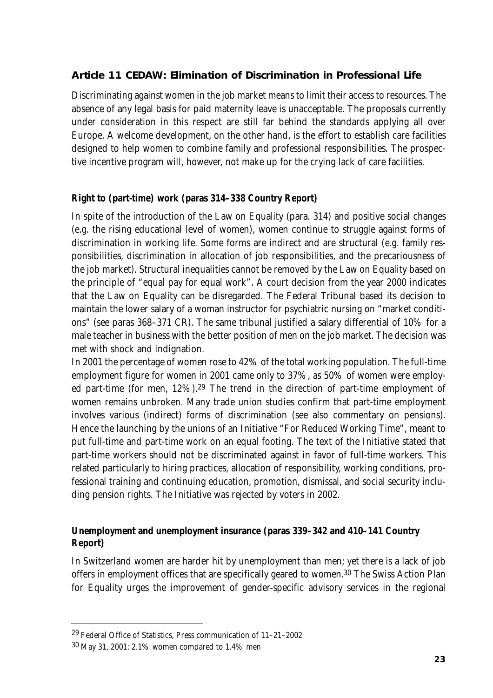# **Article 11 CEDAW: Elimination of Discrimination in Professional Life**

Discriminating against women in the job market means to limit their access to resources. The absence of any legal basis for paid maternity leave is unacceptable. The proposals currently under consideration in this respect are still far behind the standards applying all over Europe. A welcome development, on the other hand, is the effort to establish care facilities designed to help women to combine family and professional responsibilities. The prospective incentive program will, however, not make up for the crying lack of care facilities.

# **Right to (part-time) work (paras 314–338 Country Report)**

In spite of the introduction of the Law on Equality (para. 314) and positive social changes (e.g. the rising educational level of women), women continue to struggle against forms of discrimination in working life. Some forms are indirect and are structural (e.g. family responsibilities, discrimination in allocation of job responsibilities, and the precariousness of the job market). Structural inequalities cannot be removed by the Law on Equality based on the principle of "equal pay for equal work". A court decision from the year 2000 indicates that the Law on Equality can be disregarded. The Federal Tribunal based its decision to maintain the lower salary of a woman instructor for psychiatric nursing on "market conditions" (see paras 368–371 CR). The same tribunal justified a salary differential of 10% for a male teacher in business with the better position of men on the job market. The decision was met with shock and indignation.

In 2001 the percentage of women rose to 42% of the total working population. The full-time employment figure for women in 2001 came only to 37%, as 50% of women were employed part-time (for men, 12%).29 The trend in the direction of part-time employment of women remains unbroken. Many trade union studies confirm that part-time employment involves various (indirect) forms of discrimination (see also commentary on pensions). Hence the launching by the unions of an Initiative "For Reduced Working Time", meant to put full-time and part-time work on an equal footing. The text of the Initiative stated that part-time workers should not be discriminated against in favor of full-time workers. This related particularly to hiring practices, allocation of responsibility, working conditions, professional training and continuing education, promotion, dismissal, and social security including pension rights. The Initiative was rejected by voters in 2002.

# **Unemployment and unemployment insurance (paras 339–342 and 410–141 Country Report)**

In Switzerland women are harder hit by unemployment than men; yet there is a lack of job offers in employment offices that are specifically geared to women.30 The Swiss Action Plan for Equality urges the improvement of gender-specific advisory services in the regional

<sup>29</sup> Federal Office of Statistics, Press communication of 11–21–2002

<sup>30</sup> May 31, 2001: 2.1% women compared to 1.4% men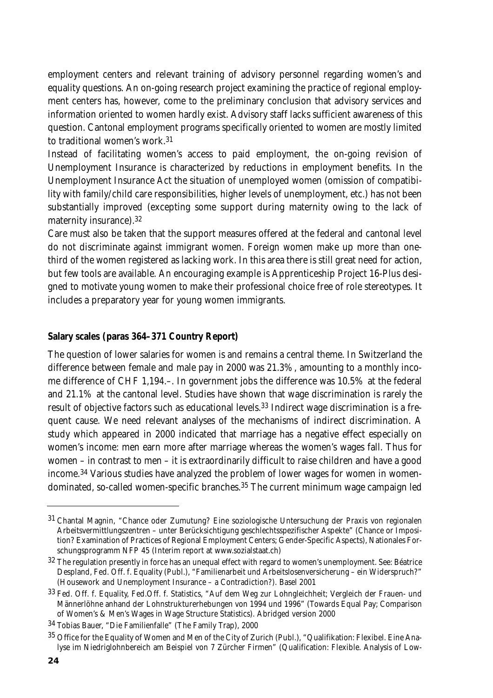employment centers and relevant training of advisory personnel regarding women's and equality questions. An on-going research project examining the practice of regional employment centers has, however, come to the preliminary conclusion that advisory services and information oriented to women hardly exist. Advisory staff lacks sufficient awareness of this question. Cantonal employment programs specifically oriented to women are mostly limited to traditional women's work.31

Instead of facilitating women's access to paid employment, the on-going revision of Unemployment Insurance is characterized by reductions in employment benefits. In the Unemployment Insurance Act the situation of unemployed women (omission of compatibility with family/child care responsibilities, higher levels of unemployment, etc.) has not been substantially improved (excepting some support during maternity owing to the lack of maternity insurance).32

Care must also be taken that the support measures offered at the federal and cantonal level do not discriminate against immigrant women. Foreign women make up more than onethird of the women registered as lacking work. In this area there is still great need for action, but few tools are available. An encouraging example is Apprenticeship Project 16-Plus designed to motivate young women to make their professional choice free of role stereotypes. It includes a preparatory year for young women immigrants.

#### **Salary scales (paras 364–371 Country Report)**

The question of lower salaries for women is and remains a central theme. In Switzerland the difference between female and male pay in 2000 was 21.3%, amounting to a monthly income difference of CHF 1,194.–. In government jobs the difference was 10.5% at the federal and 21.1% at the cantonal level. Studies have shown that wage discrimination is rarely the result of objective factors such as educational levels.<sup>33</sup> Indirect wage discrimination is a frequent cause. We need relevant analyses of the mechanisms of indirect discrimination. A study which appeared in 2000 indicated that marriage has a negative effect especially on women's income: men earn more after marriage whereas the women's wages fall. Thus for women – in contrast to men – it is extraordinarily difficult to raise children and have a good income.34 Various studies have analyzed the problem of lower wages for women in womendominated, so-called women-specific branches.35 The current minimum wage campaign led

<sup>31</sup> Chantal Magnin, "Chance oder Zumutung? Eine soziologische Untersuchung der Praxis von regionalen Arbeitsvermittlungszentren – unter Berücksichtigung geschlechtsspezifischer Aspekte" (Chance or Imposition? Examination of Practices of Regional Employment Centers; Gender-Specific Aspects), Nationales Forschungsprogramm NFP 45 (Interim report at www.sozialstaat.ch)

<sup>32</sup> The regulation presently in force has an unequal effect with regard to women's unemployment. See: Béatrice Despland, Fed. Off. f. Equality (Publ.), "Familienarbeit und Arbeitslosenversicherung – ein Widerspruch?" (Housework and Unemployment Insurance – a Contradiction?). Basel 2001

<sup>33</sup> Fed. Off. f. Equality, Fed.Off. f. Statistics, "Auf dem Weg zur Lohngleichheit; Vergleich der Frauen- und Männerlöhne anhand der Lohnstrukturerhebungen von 1994 und 1996" (Towards Equal Pay; Comparison of Women's & Men's Wages in Wage Structure Statistics). Abridged version 2000

<sup>34</sup> Tobias Bauer, "Die Familienfalle" (The Family Trap), 2000

<sup>35</sup> Office for the Equality of Women and Men of the City of Zurich (Publ.), "Qualifikation: Flexibel. Eine Analyse im Niedriglohnbereich am Beispiel von 7 Zürcher Firmen" (Qualification: Flexible. Analysis of Low-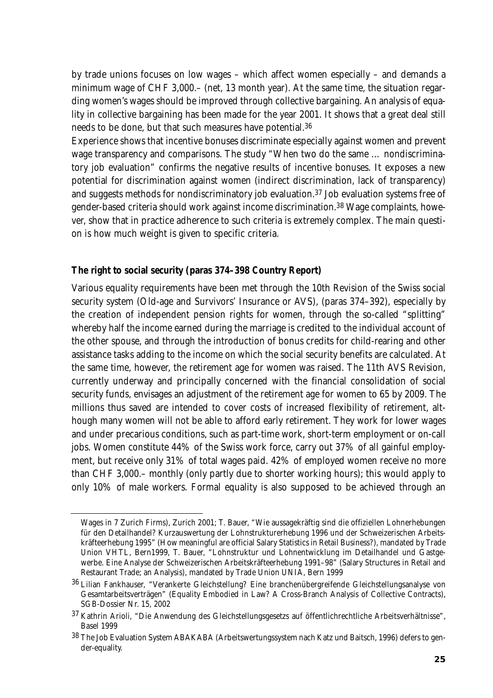by trade unions focuses on low wages – which affect women especially – and demands a minimum wage of CHF 3,000.– (net, 13 month year). At the same time, the situation regarding women's wages should be improved through collective bargaining. An analysis of equality in collective bargaining has been made for the year 2001. It shows that a great deal still needs to be done, but that such measures have potential.36

Experience shows that incentive bonuses discriminate especially against women and prevent wage transparency and comparisons. The study "When two do the same … nondiscriminatory job evaluation" confirms the negative results of incentive bonuses. It exposes a new potential for discrimination against women (indirect discrimination, lack of transparency) and suggests methods for nondiscriminatory job evaluation.37 Job evaluation systems free of gender-based criteria should work against income discrimination.38 Wage complaints, however, show that in practice adherence to such criteria is extremely complex. The main question is how much weight is given to specific criteria.

#### **The right to social security (paras 374–398 Country Report)**

Various equality requirements have been met through the 10th Revision of the Swiss social security system (Old-age and Survivors' Insurance or AVS), (paras 374–392), especially by the creation of independent pension rights for women, through the so-called "splitting" whereby half the income earned during the marriage is credited to the individual account of the other spouse, and through the introduction of bonus credits for child-rearing and other assistance tasks adding to the income on which the social security benefits are calculated. At the same time, however, the retirement age for women was raised. The 11th AVS Revision, currently underway and principally concerned with the financial consolidation of social security funds, envisages an adjustment of the retirement age for women to 65 by 2009. The millions thus saved are intended to cover costs of increased flexibility of retirement, although many women will not be able to afford early retirement. They work for lower wages and under precarious conditions, such as part-time work, short-term employment or on-call jobs. Women constitute 44% of the Swiss work force, carry out 37% of all gainful employment, but receive only 31% of total wages paid. 42% of employed women receive no more than CHF 3,000.– monthly (only partly due to shorter working hours); this would apply to only 10% of male workers. Formal equality is also supposed to be achieved through an

Wages in 7 Zurich Firms), Zurich 2001; T. Bauer, "Wie aussagekräftig sind die offiziellen Lohnerhebungen für den Detailhandel? Kurzauswertung der Lohnstrukturerhebung 1996 und der Schweizerischen Arbeitskräfteerhebung 1995" (How meaningful are official Salary Statistics in Retail Business?), mandated by Trade Union VHTL, Bern1999, T. Bauer, "Lohnstruktur und Lohnentwicklung im Detailhandel und Gastgewerbe. Eine Analyse der Schweizerischen Arbeitskräfteerhebung 1991–98" (Salary Structures in Retail and Restaurant Trade; an Analysis), mandated by Trade Union UNIA, Bern 1999

<sup>36</sup> Lilian Fankhauser, "Verankerte Gleichstellung? Eine branchenübergreifende Gleichstellungsanalyse von Gesamtarbeitsverträgen" (Equality Embodied in Law? A Cross-Branch Analysis of Collective Contracts), SGB-Dossier Nr. 15, 2002

<sup>37</sup> Kathrin Arioli, "Die Anwendung des Gleichstellungsgesetzs auf öffentlichrechtliche Arbeitsverhältnisse", Basel 1999

<sup>38</sup> The Job Evaluation System ABAKABA (Arbeitswertungssystem nach Katz und Baitsch, 1996) defers to gender-equality.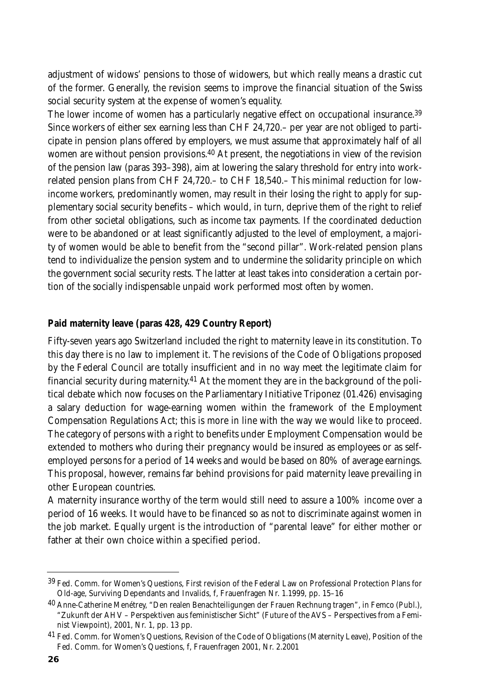adjustment of widows' pensions to those of widowers, but which really means a drastic cut of the former. Generally, the revision seems to improve the financial situation of the Swiss social security system at the expense of women's equality.

The lower income of women has a particularly negative effect on occupational insurance.<sup>39</sup> Since workers of either sex earning less than CHF 24,720.– per year are not obliged to participate in pension plans offered by employers, we must assume that approximately half of all women are without pension provisions.40 At present, the negotiations in view of the revision of the pension law (paras 393–398), aim at lowering the salary threshold for entry into workrelated pension plans from CHF 24,720.– to CHF 18,540.– This minimal reduction for lowincome workers, predominantly women, may result in their losing the right to apply for supplementary social security benefits – which would, in turn, deprive them of the right to relief from other societal obligations, such as income tax payments. If the coordinated deduction were to be abandoned or at least significantly adjusted to the level of employment, a majority of women would be able to benefit from the "second pillar". Work-related pension plans tend to individualize the pension system and to undermine the solidarity principle on which the government social security rests. The latter at least takes into consideration a certain portion of the socially indispensable unpaid work performed most often by women.

## **Paid maternity leave (paras 428, 429 Country Report)**

Fifty-seven years ago Switzerland included the right to maternity leave in its constitution. To this day there is no law to implement it. The revisions of the Code of Obligations proposed by the Federal Council are totally insufficient and in no way meet the legitimate claim for financial security during maternity.<sup>41</sup> At the moment they are in the background of the political debate which now focuses on the Parliamentary Initiative Triponez (01.426) envisaging a salary deduction for wage-earning women within the framework of the Employment Compensation Regulations Act; this is more in line with the way we would like to proceed. The category of persons with a right to benefits under Employment Compensation would be extended to mothers who during their pregnancy would be insured as employees or as selfemployed persons for a period of 14 weeks and would be based on 80% of average earnings. This proposal, however, remains far behind provisions for paid maternity leave prevailing in other European countries.

A maternity insurance worthy of the term would still need to assure a 100% income over a period of 16 weeks. It would have to be financed so as not to discriminate against women in the job market. Equally urgent is the introduction of "parental leave" for either mother or father at their own choice within a specified period.

<sup>&</sup>lt;sup>39</sup> Fed. Comm. for Women's Questions, First revision of the Federal Law on Professional Protection Plans for Old-age, Surviving Dependants and Invalids, f, Frauenfragen Nr. 1.1999, pp. 15–16

<sup>40</sup> Anne-Catherine Menétrey, "Den realen Benachteiligungen der Frauen Rechnung tragen", in Femco (Publ.), "Zukunft der AHV – Perspektiven aus feministischer Sicht" (Future of the AVS – Perspectives from a Feminist Viewpoint), 2001, Nr. 1, pp. 13 pp.

<sup>&</sup>lt;sup>41</sup> Fed. Comm. for Women's Questions, Revision of the Code of Obligations (Maternity Leave), Position of the Fed. Comm. for Women's Questions, f, Frauenfragen 2001, Nr. 2.2001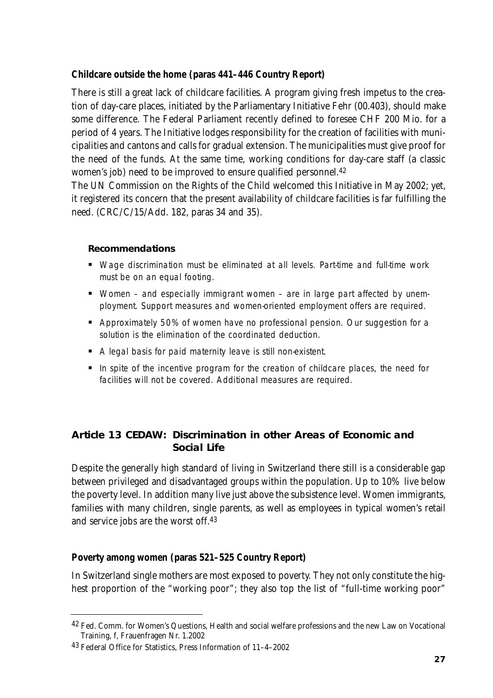# **Childcare outside the home (paras 441–446 Country Report)**

There is still a great lack of childcare facilities. A program giving fresh impetus to the creation of day-care places, initiated by the Parliamentary Initiative Fehr (00.403), should make some difference. The Federal Parliament recently defined to foresee CHF 200 Mio. for a period of 4 years. The Initiative lodges responsibility for the creation of facilities with municipalities and cantons and calls for gradual extension. The municipalities must give proof for the need of the funds. At the same time, working conditions for day-care staff (a classic women's job) need to be improved to ensure qualified personnel.42

The UN Commission on the Rights of the Child welcomed this Initiative in May 2002; yet, it registered its concern that the present availability of childcare facilities is far fulfilling the need. (CRC/C/15/Add. 182, paras 34 and 35).

#### **Recommendations**

- Wage discrimination must be eliminated at all levels. Part-time and full-time work must be on an equal footing.
- Women and especially immigrant women are in large part affected by unemployment. Support measures and women-oriented employment offers are required.
- Approximately 50% of women have no professional pension. Our suggestion for a solution is the elimination of the coordinated deduction.
- A legal basis for paid maternity leave is still non-existent.
- In spite of the incentive program for the creation of childcare places, the need for facilities will not be covered. Additional measures are required.

# **Article 13 CEDAW: Discrimination in other Areas of Economic and Social Life**

Despite the generally high standard of living in Switzerland there still is a considerable gap between privileged and disadvantaged groups within the population. Up to 10% live below the poverty level. In addition many live just above the subsistence level. Women immigrants, families with many children, single parents, as well as employees in typical women's retail and service jobs are the worst off.43

#### **Poverty among women (paras 521–525 Country Report)**

In Switzerland single mothers are most exposed to poverty. They not only constitute the highest proportion of the "working poor"; they also top the list of "full-time working poor"

<sup>42</sup> Fed. Comm. for Women's Questions, Health and social welfare professions and the new Law on Vocational Training, f, Frauenfragen Nr. 1.2002

<sup>43</sup> Federal Office for Statistics, Press Information of 11–4–2002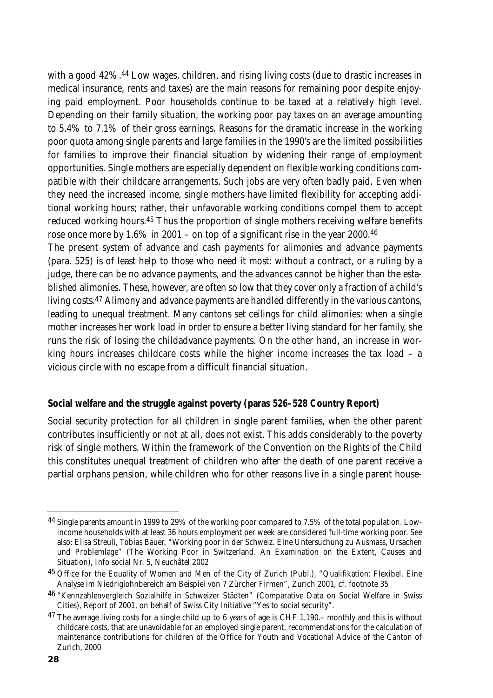with a good 42%.<sup>44</sup> Low wages, children, and rising living costs (due to drastic increases in medical insurance, rents and taxes) are the main reasons for remaining poor despite enjoying paid employment. Poor households continue to be taxed at a relatively high level. Depending on their family situation, the working poor pay taxes on an average amounting to 5.4% to 7.1% of their gross earnings. Reasons for the dramatic increase in the working poor quota among single parents and large families in the 1990's are the limited possibilities for families to improve their financial situation by widening their range of employment opportunities. Single mothers are especially dependent on flexible working conditions compatible with their childcare arrangements. Such jobs are very often badly paid. Even when they need the increased income, single mothers have limited flexibility for accepting additional working hours; rather, their unfavorable working conditions compel them to accept reduced working hours.45 Thus the proportion of single mothers receiving welfare benefits rose once more by  $1.6\%$  in 2001 – on top of a significant rise in the year 2000.<sup>46</sup>

The present system of advance and cash payments for alimonies and advance payments (para. 525) is of least help to those who need it most: without a contract, or a ruling by a judge, there can be no advance payments, and the advances cannot be higher than the established alimonies. These, however, are often so low that they cover only a fraction of a child's living costs.47 Alimony and advance payments are handled differently in the various cantons, leading to unequal treatment. Many cantons set ceilings for child alimonies: when a single mother increases her work load in order to ensure a better living standard for her family, she runs the risk of losing the childadvance payments. On the other hand, an increase in working hours increases childcare costs while the higher income increases the tax load – a vicious circle with no escape from a difficult financial situation.

#### **Social welfare and the struggle against poverty (paras 526–528 Country Report)**

Social security protection for all children in single parent families, when the other parent contributes insufficiently or not at all, does not exist. This adds considerably to the poverty risk of single mothers. Within the framework of the Convention on the Rights of the Child this constitutes unequal treatment of children who after the death of one parent receive a partial orphans pension, while children who for other reasons live in a single parent house-

<sup>44</sup> Single parents amount in 1999 to 29% of the working poor compared to 7.5% of the total population. Lowincome households with at least 36 hours employment per week are considered full-time working poor. See also: Elisa Streuli, Tobias Bauer, "Working poor in der Schweiz. Eine Untersuchung zu Ausmass, Ursachen und Problemlage" (The Working Poor in Switzerland. An Examination on the Extent, Causes and Situation), Info social Nr. 5, Neuchâtel 2002

<sup>&</sup>lt;sup>45</sup> Office for the Equality of Women and Men of the City of Zurich (Publ.), "Qualifikation: Flexibel. Eine Analyse im Niedriglohnbereich am Beispiel von 7 Zürcher Firmen", Zurich 2001, cf. footnote 35

<sup>46</sup> "Kennzahlenvergleich Sozialhilfe in Schweizer Städten" (Comparative Data on Social Welfare in Swiss Cities), Report of 2001, on behalf of Swiss City Initiative "Yes to social security".

<sup>&</sup>lt;sup>47</sup> The average living costs for a single child up to 6 years of age is CHF 1,190.– monthly and this is without childcare costs, that are unavoidable for an employed single parent, recommendations for the calculation of maintenance contributions for children of the Office for Youth and Vocational Advice of the Canton of Zurich, 2000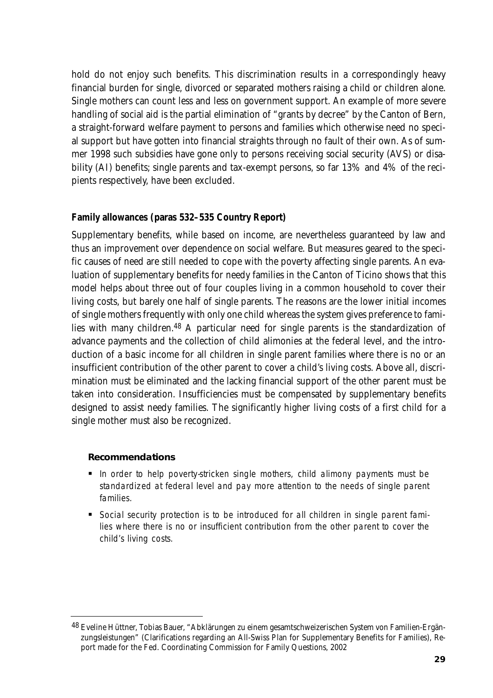hold do not enjoy such benefits. This discrimination results in a correspondingly heavy financial burden for single, divorced or separated mothers raising a child or children alone. Single mothers can count less and less on government support. An example of more severe handling of social aid is the partial elimination of "grants by decree" by the Canton of Bern, a straight-forward welfare payment to persons and families which otherwise need no special support but have gotten into financial straights through no fault of their own. As of summer 1998 such subsidies have gone only to persons receiving social security (AVS) or disability (AI) benefits; single parents and tax-exempt persons, so far 13% and 4% of the recipients respectively, have been excluded.

#### **Family allowances (paras 532–535 Country Report)**

Supplementary benefits, while based on income, are nevertheless guaranteed by law and thus an improvement over dependence on social welfare. But measures geared to the specific causes of need are still needed to cope with the poverty affecting single parents. An evaluation of supplementary benefits for needy families in the Canton of Ticino shows that this model helps about three out of four couples living in a common household to cover their living costs, but barely one half of single parents. The reasons are the lower initial incomes of single mothers frequently with only one child whereas the system gives preference to families with many children.48 A particular need for single parents is the standardization of advance payments and the collection of child alimonies at the federal level, and the introduction of a basic income for all children in single parent families where there is no or an insufficient contribution of the other parent to cover a child's living costs. Above all, discrimination must be eliminated and the lacking financial support of the other parent must be taken into consideration. Insufficiencies must be compensated by supplementary benefits designed to assist needy families. The significantly higher living costs of a first child for a single mother must also be recognized.

#### **Recommendations**

- In order to help poverty-stricken single mothers, child alimony payments must be standardized at federal level and pay more attention to the needs of single parent families.
- **Social security protection is to be introduced for all children in single parent fami**lies where there is no or insufficient contribution from the other parent to cover the child's living costs.

<sup>48</sup> Eveline Hüttner, Tobias Bauer, "Abklärungen zu einem gesamtschweizerischen System von Familien-Ergänzungsleistungen" (Clarifications regarding an All-Swiss Plan for Supplementary Benefits for Families), Report made for the Fed. Coordinating Commission for Family Questions, 2002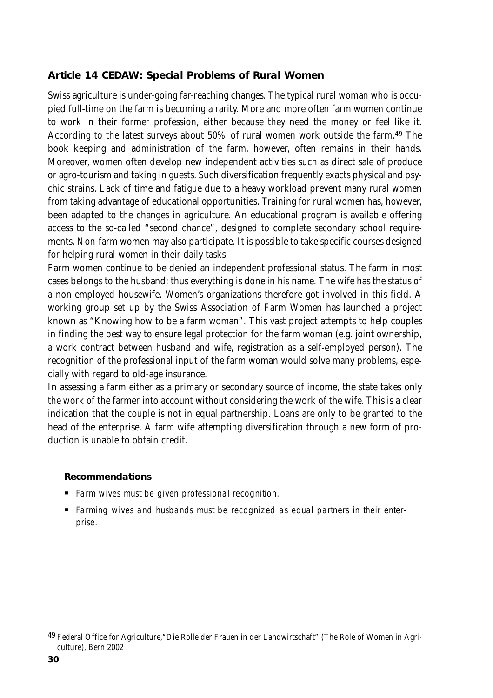# **Article 14 CEDAW: Special Problems of Rural Women**

Swiss agriculture is under-going far-reaching changes. The typical rural woman who is occupied full-time on the farm is becoming a rarity. More and more often farm women continue to work in their former profession, either because they need the money or feel like it. According to the latest surveys about 50% of rural women work outside the farm.49 The book keeping and administration of the farm, however, often remains in their hands. Moreover, women often develop new independent activities such as direct sale of produce or agro-tourism and taking in guests. Such diversification frequently exacts physical and psychic strains. Lack of time and fatigue due to a heavy workload prevent many rural women from taking advantage of educational opportunities. Training for rural women has, however, been adapted to the changes in agriculture. An educational program is available offering access to the so-called "second chance", designed to complete secondary school requirements. Non-farm women may also participate. It is possible to take specific courses designed for helping rural women in their daily tasks.

Farm women continue to be denied an independent professional status. The farm in most cases belongs to the husband; thus everything is done in his name. The wife has the status of a non-employed housewife. Women's organizations therefore got involved in this field. A working group set up by the Swiss Association of Farm Women has launched a project known as "Knowing how to be a farm woman". This vast project attempts to help couples in finding the best way to ensure legal protection for the farm woman (e.g. joint ownership, a work contract between husband and wife, registration as a self-employed person). The recognition of the professional input of the farm woman would solve many problems, especially with regard to old-age insurance.

In assessing a farm either as a primary or secondary source of income, the state takes only the work of the farmer into account without considering the work of the wife. This is a clear indication that the couple is not in equal partnership. Loans are only to be granted to the head of the enterprise. A farm wife attempting diversification through a new form of production is unable to obtain credit.

#### **Recommendations**

- **Farm wives must be given professional recognition.**
- Farming wives and husbands must be recognized as equal partners in their enterprise.

<sup>49</sup> Federal Office for Agriculture, "Die Rolle der Frauen in der Landwirtschaft" (The Role of Women in Agriculture), Bern 2002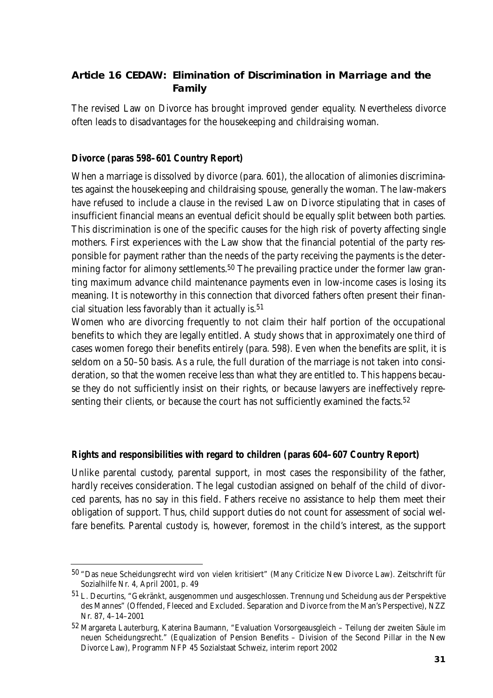# **Article 16 CEDAW: Elimination of Discrimination in Marriage and the Family**

The revised Law on Divorce has brought improved gender equality. Nevertheless divorce often leads to disadvantages for the housekeeping and childraising woman.

# **Divorce (paras 598–601 Country Report)**

When a marriage is dissolved by divorce (para. 601), the allocation of alimonies discriminates against the housekeeping and childraising spouse, generally the woman. The law-makers have refused to include a clause in the revised Law on Divorce stipulating that in cases of insufficient financial means an eventual deficit should be equally split between both parties. This discrimination is one of the specific causes for the high risk of poverty affecting single mothers. First experiences with the Law show that the financial potential of the party responsible for payment rather than the needs of the party receiving the payments is the determining factor for alimony settlements.<sup>50</sup> The prevailing practice under the former law granting maximum advance child maintenance payments even in low-income cases is losing its meaning. It is noteworthy in this connection that divorced fathers often present their financial situation less favorably than it actually is.51

Women who are divorcing frequently to not claim their half portion of the occupational benefits to which they are legally entitled. A study shows that in approximately one third of cases women forego their benefits entirely (para. 598). Even when the benefits are split, it is seldom on a 50–50 basis. As a rule, the full duration of the marriage is not taken into consideration, so that the women receive less than what they are entitled to. This happens because they do not sufficiently insist on their rights, or because lawyers are ineffectively representing their clients, or because the court has not sufficiently examined the facts.<sup>52</sup>

# **Rights and responsibilities with regard to children (paras 604–607 Country Report)**

Unlike parental custody, parental support, in most cases the responsibility of the father, hardly receives consideration. The legal custodian assigned on behalf of the child of divorced parents, has no say in this field. Fathers receive no assistance to help them meet their obligation of support. Thus, child support duties do not count for assessment of social welfare benefits. Parental custody is, however, foremost in the child's interest, as the support

<sup>50</sup> "Das neue Scheidungsrecht wird von vielen kritisiert" (Many Criticize New Divorce Law). Zeitschrift für Sozialhilfe Nr. 4, April 2001, p. 49

<sup>51</sup> L. Decurtins, "Gekränkt, ausgenommen und ausgeschlossen. Trennung und Scheidung aus der Perspektive des Mannes" (Offended, Fleeced and Excluded. Separation and Divorce from the Man's Perspective), NZZ Nr. 87, 4–14–2001

<sup>52</sup> Margareta Lauterburg, Katerina Baumann, "Evaluation Vorsorgeausgleich – Teilung der zweiten Säule im neuen Scheidungsrecht." (Equalization of Pension Benefits – Division of the Second Pillar in the New Divorce Law), Programm NFP 45 Sozialstaat Schweiz, interim report 2002